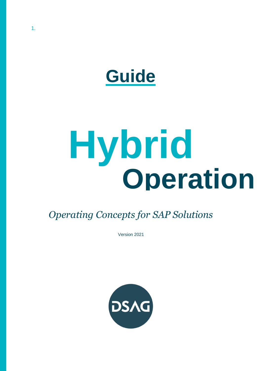

# **Hybrid Operation**

*Operating Concepts for SAP Solutions*

Version 2021

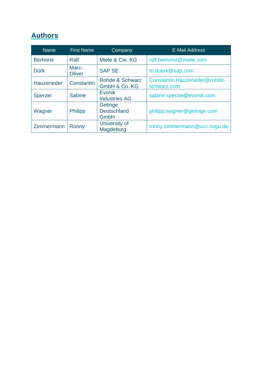# <span id="page-1-0"></span>**Authors**

| <b>Name</b>     | <b>First Name</b> | Company                               | <b>E-Mail Address</b>        |
|-----------------|-------------------|---------------------------------------|------------------------------|
| <b>Berhorst</b> | Ralf              | Miele & Cie. KG                       | ralf.berhorst@miele.com      |
| <b>Dürk</b>     | Marc-<br>Oliver   | <b>SAP SE</b>                         | m.duerk@sap.com              |
| Hauzeneder      | Constantin        | Rohde & Schwarz                       | Constantin.Hauzeneder@rohde- |
|                 |                   | GmbH & Co. KG                         | schwarz.com                  |
| <b>Sperzel</b>  | <b>Sabine</b>     | <b>Evonik</b><br><b>Industries AG</b> | sabine.sperzel@evonik.com    |
| Wagner          | <b>Philipp</b>    | Getinge<br><b>Deutschland</b><br>GmbH | philipp.wagner@getinge.com   |
| Zimmermann      | Ronny             | University of<br>Magdeburg            | ronny.zimmermann@ucc.ovgu.de |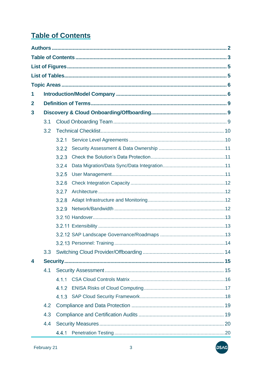# <span id="page-2-0"></span>**Table of Contents**

| 1            |                  |       |  |  |  |
|--------------|------------------|-------|--|--|--|
| $\mathbf{2}$ |                  |       |  |  |  |
| 3            |                  |       |  |  |  |
|              | 3.1              |       |  |  |  |
|              | 3.2              |       |  |  |  |
|              |                  | 3.2.1 |  |  |  |
|              |                  | 3.2.2 |  |  |  |
|              |                  | 3.2.3 |  |  |  |
|              |                  | 3.2.4 |  |  |  |
|              |                  | 3.2.5 |  |  |  |
|              |                  | 3.2.6 |  |  |  |
|              |                  | 3.2.7 |  |  |  |
|              |                  | 3.2.8 |  |  |  |
|              |                  | 3.2.9 |  |  |  |
|              |                  |       |  |  |  |
|              |                  |       |  |  |  |
|              |                  |       |  |  |  |
|              |                  |       |  |  |  |
|              | 3.3 <sub>2</sub> |       |  |  |  |
| 4            |                  |       |  |  |  |
|              | 4.1              |       |  |  |  |
|              |                  | 4.1.1 |  |  |  |
|              |                  | 4.1.2 |  |  |  |
|              |                  |       |  |  |  |
|              | 4.2              |       |  |  |  |
|              | 4.3              |       |  |  |  |
|              | 4.4              |       |  |  |  |
|              |                  | 4.4.1 |  |  |  |

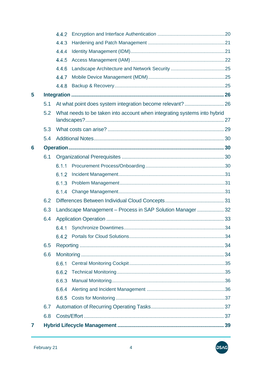|   |     | 4.4.2                                                                    |  |    |
|---|-----|--------------------------------------------------------------------------|--|----|
|   |     | 4.4.3                                                                    |  |    |
|   |     | 4.4.4                                                                    |  |    |
|   |     | 4.4.5                                                                    |  |    |
|   |     | 4.4.6                                                                    |  |    |
|   |     | 4.4.7                                                                    |  |    |
|   |     | 4.4.8                                                                    |  |    |
| 5 |     |                                                                          |  |    |
|   | 5.1 |                                                                          |  |    |
|   | 5.2 | What needs to be taken into account when integrating systems into hybrid |  |    |
|   | 5.3 |                                                                          |  |    |
|   | 5.4 |                                                                          |  |    |
| 6 |     |                                                                          |  |    |
|   | 6.1 |                                                                          |  |    |
|   |     | 6.1.1                                                                    |  |    |
|   |     | 6.1.2                                                                    |  |    |
|   |     | 6.1.3                                                                    |  |    |
|   |     | 6.1.4                                                                    |  |    |
|   | 6.2 |                                                                          |  |    |
|   | 6.3 | Landscape Management - Process in SAP Solution Manager  32               |  |    |
|   | 6.4 |                                                                          |  |    |
|   |     |                                                                          |  | 34 |
|   |     |                                                                          |  |    |
|   | 6.5 |                                                                          |  |    |
|   | 6.6 |                                                                          |  |    |
|   |     | 6.6.1                                                                    |  |    |
|   |     | 6.6.2                                                                    |  |    |
|   |     | 6.6.3                                                                    |  |    |
|   |     | 6.6.4                                                                    |  |    |
|   |     | 6.6.5                                                                    |  |    |
|   | 6.7 |                                                                          |  |    |
|   | 6.8 |                                                                          |  |    |
| 7 |     |                                                                          |  |    |

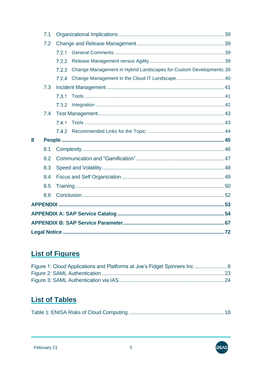|   | 7.1 |       |                                                                   |  |
|---|-----|-------|-------------------------------------------------------------------|--|
|   | 7.2 |       |                                                                   |  |
|   |     | 7.2.1 |                                                                   |  |
|   |     | 7.2.2 |                                                                   |  |
|   |     | 7.2.3 | Change Management in Hybrid Landscapes for Custom Developments.39 |  |
|   |     | 7.2.4 |                                                                   |  |
|   | 7.3 |       |                                                                   |  |
|   |     | 7.3.1 |                                                                   |  |
|   |     | 7.3.2 |                                                                   |  |
|   | 7.4 |       |                                                                   |  |
|   |     | 7.4.1 |                                                                   |  |
|   |     |       |                                                                   |  |
| 8 |     |       |                                                                   |  |
|   | 8.1 |       |                                                                   |  |
|   | 8.2 |       |                                                                   |  |
|   | 8.3 |       |                                                                   |  |
|   | 8.4 |       |                                                                   |  |
|   |     |       |                                                                   |  |
|   | 8.5 |       |                                                                   |  |
|   | 8.6 |       |                                                                   |  |
|   |     |       |                                                                   |  |
|   |     |       |                                                                   |  |
|   |     |       |                                                                   |  |

# <span id="page-4-0"></span>**List of Figures**

| Figure 1: Cloud Applications and Platforms at Joe's Fidget Spinners Inc 8 |  |
|---------------------------------------------------------------------------|--|
|                                                                           |  |
|                                                                           |  |

# <span id="page-4-1"></span>**List of Tables**

|--|--|

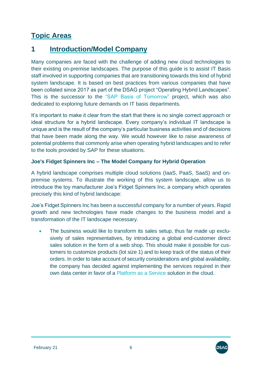# <span id="page-5-0"></span>**Topic Areas**

# <span id="page-5-1"></span>**1 Introduction/Model Company**

Many companies are faced with the challenge of adding new cloud technologies to their existing on-premise landscapes. The purpose of this guide is to assist IT Basis staff involved in supporting companies that are transitioning towards this kind of hybrid system landscape. It is based on best practices from various companies that have been collated since 2017 as part of the DSAG project "Operating Hybrid Landscapes". This is the successor to the ["SAP Basis of Tomorrow"](http://www.dsag.de/sites/default/files/2020-10/20160726_dsag_handlungsempfehlung_sap-basis_von_morgen_1.pdf) project, which was also dedicated to exploring future demands on IT basis departments.

It's important to make it clear from the start that there is no single correct approach or ideal structure for a hybrid landscape. Every company's individual IT landscape is unique and is the result of the company's particular business activities and of decisions that have been made along the way. We would however like to raise awareness of potential problems that commonly arise when operating hybrid landscapes and to refer to the tools provided by SAP for these situations.

### **Joe's Fidget Spinners Inc – The Model Company for Hybrid Operation**

A hybrid landscape comprises multiple cloud solutions (IaaS, PaaS, SaaS) and onpremise systems. To illustrate the working of this system landscape, allow us to introduce the toy manufacturer Joe's Fidget Spinners Inc, a company which operates precisely this kind of hybrid landscape:

Joe's Fidget Spinners Inc has been a successful company for a number of years. Rapid growth and new technologies have made changes to the business model and a transformation of the IT landscape necessary.

• The business would like to transform its sales setup, thus far made up exclusively of sales representatives, by introducing a global end-customer direct sales solution in the form of a web shop. This should make it possible for customers to customize products (lot size 1) and to keep track of the status of their orders. In order to take account of security considerations and global availability, the company has decided against implementing the services required in their own data center in favor of a [Platform as a Service](https://support.sap.com/en/tools/software-logistics-tools/landscape-management-process.html#panel-section-accordion-accordionitem-body) solution in the cloud.



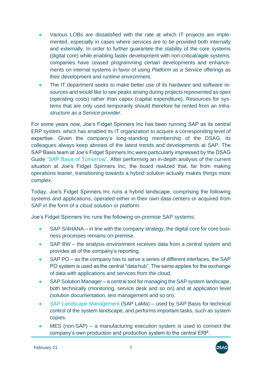- Various LOBs are dissatisfied with the rate at which IT projects are implemented, especially in cases where services are to be provided both internally and externally. In order to further guarantee the stability of the core systems (digital core) while enabling faster development with non-critical/agile systems, companies have ceased programming certain developments and enhancements on internal systems in favor of using *Platform as a Service* offerings as their development and runtime environment.
- The IT department seeks to make better use of its hardware and software resources and would like to see peaks arising during projects represented as opex (operating costs) rather than capex (capital expenditure). Resources for systems that are only used temporarily should therefore be rented from an *Infrastructure as a Service* provider.

For some years now, Joe's Fidget Spinners Inc has been running SAP as its central ERP system, which has enabled its IT organization to acquire a corresponding level of expertise. Given the company's long-standing membership of the DSAG, its colleagues always keep abreast of the latest trends and developments at SAP. The SAP Basis team at Joe's Fidget Spinners Inc were particularly impressed by the DSAG Guide ["SAP Basis of Tomorrow".](http://www.dsag.de/sites/default/files/2020-10/20160726_dsag_handlungsempfehlung_sap-basis_von_morgen_1.pdf) After performing an in-depth analysis of the current situation at Joe's Fidget Spinners Inc, the board realized that, far from making operations leaner, transitioning towards a hybrid solution actually makes things more complex.

Today, Joe's Fidget Spinners Inc runs a hybrid landscape, comprising the following systems and applications, operated either in their own data centers or acquired from SAP in the form of a cloud solution or platform.

Joe's Fidget Spinners Inc runs the following on-premise SAP systems:

- SAP S/4HANA in line with the company strategy, the digital core for core business processes remains on-premise.
- SAP BW the analysis environment receives data from a central system and provides all of the company's reporting.
- SAP PO as the company has to serve a series of different interfaces, the SAP PO system is used as the central "data hub". The same applies for the exchange of data with applications and services from the cloud.
- SAP Solution Manager a central tool for managing the SAP system landscape, both technically (monitoring, service desk and so on) and at application level (solution documentation, test management and so on).
- [SAP Landscape Management](https://support.sap.com/en/tools/software-logistics-tools/landscape-management-process.html#panel-section-accordion-item_5-body) (SAP LaMa) used by SAP Basis for technical control of the system landscape, and performs important tasks, such as system copies.
- MES (non-SAP) a manufacturing execution system is used to connect the company's own production and production system to the central ERP.

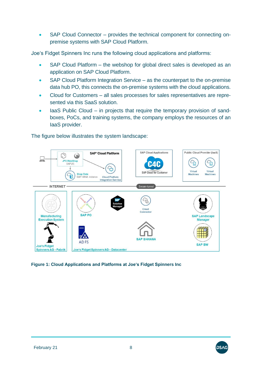SAP Cloud Connector – provides the technical component for connecting onpremise systems with SAP Cloud Platform.

Joe's Fidget Spinners Inc runs the following cloud applications and platforms:

- SAP Cloud Platform the webshop for global direct sales is developed as an application on SAP Cloud Platform.
- SAP Cloud Platform Integration Service as the counterpart to the on-premise data hub PO, this connects the on-premise systems with the cloud applications.
- Cloud for Customers all sales processes for sales representatives are represented via this SaaS solution.
- laaS Public Cloud in projects that require the temporary provision of sandboxes, PoCs, and training systems, the company employs the resources of an IaaS provider.

**SAP Cloud Applications** Public Cloud Provider (laaS) **SAP<sup>®</sup> Cloud Platform** C)  $\bigcirc$ **JFS WebShop**<br>SAPUI5  $C_{\mathbf{\hat{L}}}$ € HIF Ï Virtual Virtual SAP Cloud for Customer **Shop Data**<br>SAP HANA instance  $C_{\widehat{\mathbf{H}}}$ **Machines Machines Cloud Platform Integration Service INTERNET** Secure tunnel Cloud Connecto **SAP PO** Manufacturing **SAP Landscape Execution System Manager SAP S/4HANA ADF SAP BW Joe's Fidget** Spinners AG - Fabrik Joe's Fidget Spinners AG - Datacenter

The figure below illustrates the system landscape:

### <span id="page-7-0"></span>**Figure 1: Cloud Applications and Platforms at Joe's Fidget Spinners Inc**

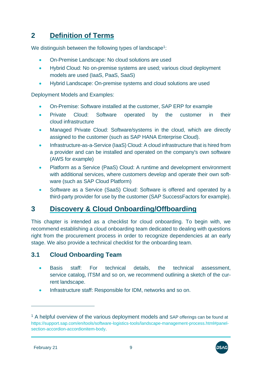# <span id="page-8-0"></span>**2 Definition of Terms**

We distinguish between the following types of landscape<sup>1</sup>:

- On-Premise Landscape: No cloud solutions are used
- Hybrid Cloud: No on-premise systems are used; various cloud deployment models are used (IaaS, PaaS, SaaS)
- Hybrid Landscape: On-premise systems and cloud solutions are used

[Deployment Models](https://support.sap.com/en/tools/software-logistics-tools/landscape-management-process.html#panel-section-accordion-accordionitem-body) and Examples:

- On-Premise: Software installed at the customer, SAP ERP for example
- Private Cloud: Software operated by the customer in their cloud infrastructure
- Managed Private Cloud: Software/systems in the cloud, which are directly assigned to the customer (such as SAP HANA Enterprise Cloud).
- Infrastructure-as-a-Service (IaaS) Cloud: A cloud infrastructure that is hired from a provider and can be installed and operated on the company's own software (AWS for example)
- Platform as a Service (PaaS) Cloud: A runtime and development environment with additional services, where customers develop and operate their own software (such as SAP Cloud Platform)
- Software as a Service (SaaS) Cloud: Software is offered and operated by a third-party provider for use by the customer (SAP SuccessFactors for example).

# <span id="page-8-1"></span>**3 Discovery & Cloud Onboarding/Offboarding**

This chapter is intended as a checklist for cloud onboarding. To begin with, we recommend establishing a cloud onboarding team dedicated to dealing with questions right from the procurement process in order to recognize dependencies at an early stage. We also provide a technical checklist for the onboarding team.

# <span id="page-8-2"></span>**3.1 Cloud Onboarding Team**

- Basis staff: For technical details, the technical assessment, service catalog, ITSM and so on, we recommend outlining a sketch of the current landscape.
- Infrastructure staff: Responsible for IDM, networks and so on.



 $1$  A helpful overview of the various deployment models and SAP offerings can be found at https://support.sap.com/en/tools/software-logistics-tools/landscape-management-process.html#panelsection-accordion-accordionitem-body.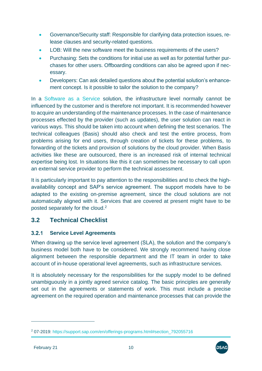- Governance/Security staff: Responsible for clarifying data protection issues, release clauses and security-related questions.
- LOB: Will the new software meet the business requirements of the users?
- Purchasing: Sets the conditions for initial use as well as for potential further purchases for other users. Offboarding conditions can also be agreed upon if necessary.
- Developers: Can ask detailed questions about the potential solution's enhancement concept. Is it possible to tailor the solution to the company?

In a [Software as a Service](https://support.sap.com/en/tools/software-logistics-tools/landscape-management-process.html#panel-section-accordion-accordionitem-body) solution, the infrastructure level normally cannot be influenced by the customer and is therefore not important. It is recommended however to acquire an understanding of the maintenance processes. In the case of maintenance processes effected by the provider (such as updates), the user solution can react in various ways. This should be taken into account when defining the test scenarios. The technical colleagues (Basis) should also check and test the entire process, from problems arising for end users, through creation of tickets for these problems, to forwarding of the tickets and provision of solutions by the cloud provider. When Basis activities like these are outsourced, there is an increased risk of internal technical expertise being lost. In situations like this it can sometimes be necessary to call upon an external service provider to perform the technical assessment.

It is particularly important to pay attention to the responsibilities and to check the highavailability concept and SAP's service agreement. The support models have to be adapted to the existing on-premise agreement, since the cloud solutions are not automatically aligned with it. Services that are covered at present might have to be posted separately for the cloud.<sup>2</sup>

# <span id="page-9-0"></span>**3.2 Technical Checklist**

#### <span id="page-9-1"></span> $3.2.1$ **Service Level Agreements**

When drawing up the service level agreement (SLA), the solution and the company's business model both have to be considered. We strongly recommend having close alignment between the responsible department and the IT team in order to take account of in-house operational level agreements, such as infrastructure services.

It is absolutely necessary for the responsibilities for the supply model to be defined unambiguously in a jointly agreed service catalog. The basic principles are generally set out in the agreements or statements of work. This must include a precise agreement on the required operation and maintenance processes that can provide the



<sup>2</sup> 07-2019: https://support.sap.com/en/offerings-programs.html#section\_792055716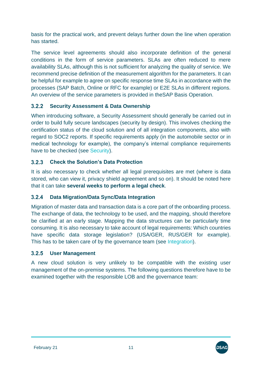basis for the practical work, and prevent delays further down the line when operation has started.

The service level agreements should also incorporate definition of the general conditions in the form of service parameters. SLAs are often reduced to mere availability SLAs, although this is not sufficient for analyzing the quality of service. We recommend precise definition of the measurement algorithm for the parameters. It can be helpful for example to agree on specific response time SLAs in accordance with the processes (SAP Batch, Online or RFC for example) or E2E SLAs in different regions. An overview of the service parameters is provided in th[eSAP Basis Operation.](#page-66-1)

#### <span id="page-10-0"></span> $3.2.2$ **Security Assessment & Data Ownership**

When introducing software, a [Security Assessment](#page-14-1) should generally be carried out in order to build fully secure landscapes (security by design). This involves checking the certification status of the cloud solution and of all integration components, also with regard to SOC2 reports. If specific requirements apply (in the automobile sector or in medical technology for example), the company's internal compliance requirements have to be checked (see [Security\)](#page-14-0).

#### <span id="page-10-1"></span> $3.2.3$ **Check the Solution's Data Protection**

It is also necessary to check whether all legal prerequisites are met (where is data stored, who can view it, privacy shield agreement and so on). It should be noted here that it can take **several weeks to perform a legal check**.

#### <span id="page-10-2"></span> $3.2.4$ **Data Migration/Data Sync/Data Integration**

Migration of master data and transaction data is a core part of the onboarding process. The exchange of data, the technology to be used, and the mapping, should therefore be clarified at an early stage. Mapping the data structures can be particularly time consuming. It is also necessary to take account of legal requirements: Which countries have specific data storage legislation? (USA/GER, RUS/GER for example). This has to be taken care of by the governance team (see [Integration\)](#page-25-0).

#### <span id="page-10-3"></span> $3.2.5$ **User Management**

A new cloud solution is very unlikely to be compatible with the existing user management of the on-premise systems. The following questions therefore have to be examined together with the responsible LOB and the governance team:

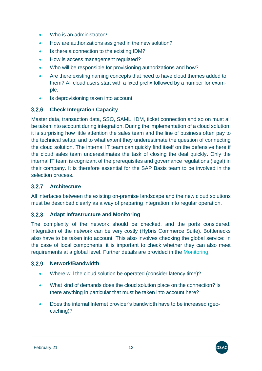- Who is an administrator?
- How are authorizations assigned in the new solution?
- Is there a connection to the existing IDM?
- How is access management regulated?
- Who will be responsible for provisioning authorizations and how?
- Are there existing naming concepts that need to have cloud themes added to them? All cloud users start with a fixed prefix followed by a number for example.
- Is deprovisioning taken into account

#### <span id="page-11-0"></span> $3.2.6$ **Check Integration Capacity**

Master data, transaction data, SSO, SAML, IDM, ticket connection and so on must all be taken into account during integration. During the implementation of a cloud solution, it is surprising how little attention the sales team and the line of business often pay to the technical setup, and to what extent they underestimate the question of connecting the cloud solution. The internal IT team can quickly find itself on the defensive here if the cloud sales team underestimates the task of closing the deal quickly. Only the internal IT team is cognizant of the prerequisites and governance regulations (legal) in their company. It is therefore essential for the SAP Basis team to be involved in the selection process.

### <span id="page-11-1"></span>**Architecture**

All interfaces between the existing on-premise landscape and the new cloud solutions must be described clearly as a way of preparing integration into regular operation.

### <span id="page-11-2"></span>**Adapt Infrastructure and Monitoring**

The complexity of the network should be checked, and the ports considered. Integration of the network can be very costly (Hybris Commerce Suite). Bottlenecks also have to be taken into account. This also involves checking the global service: In the case of local components, it is important to check whether they can also meet requirements at a global level. Further details are provided in the [Monitoring.](#page-33-3)

#### <span id="page-11-3"></span> $3.2.9$ **Network/Bandwidth**

- Where will the cloud solution be operated (consider latency time)?
- What kind of demands does the cloud solution place on the connection? Is there anything in particular that must be taken into account here?
- Does the internal Internet provider's bandwidth have to be increased (geocaching)?

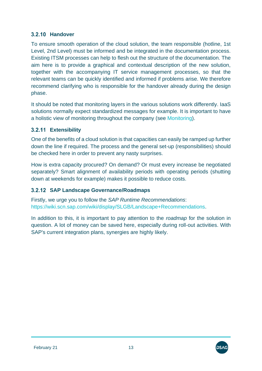### <span id="page-12-0"></span>**3.2.10 Handover**

To ensure smooth operation of the cloud solution, the team responsible (hotline, 1st Level, 2nd Level) must be informed and be integrated in the documentation process. Existing ITSM processes can help to flesh out the structure of the documentation. The aim here is to provide a graphical and contextual description of the new solution, together with the accompanying IT service management processes, so that the relevant teams can be quickly identified and informed if problems arise. We therefore recommend clarifying who is responsible for the handover already during the design phase.

It should be noted that monitoring layers in the various solutions work differently. [IaaS](https://support.sap.com/en/tools/software-logistics-tools/landscape-management-process.html#panel-section-accordion-accordionitem-body)  [solutions](https://support.sap.com/en/tools/software-logistics-tools/landscape-management-process.html#panel-section-accordion-accordionitem-body) normally expect standardized messages for example. It is important to have a holistic view of monitoring throughout the company (see [Monitoring\)](#page-33-3).

### <span id="page-12-1"></span>**Extensibility**

One of the benefits of a cloud solution is that capacities can easily be ramped up further down the line if required. The process and the general set-up (responsibilities) should be checked here in order to prevent any nasty surprises.

How is extra capacity procured? On demand? Or must every increase be negotiated separately? Smart alignment of availability periods with operating periods (shutting down at weekends for example) makes it possible to reduce costs.

# <span id="page-12-2"></span>**SAP Landscape Governance/Roadmaps**

Firstly, we urge you to follow the *SAP Runtime Recommendations*: [https://wiki.scn.sap.com/wiki/display/SLGB/Landscape+Recommendations.](https://wiki.scn.sap.com/wiki/display/SLGB/Landscape+Recommendations)

In addition to this, it is important to pay attention to the *roadmap* for the solution in question. A lot of money can be saved here, especially during roll-out activities. With SAP's current integration plans, synergies are highly likely.

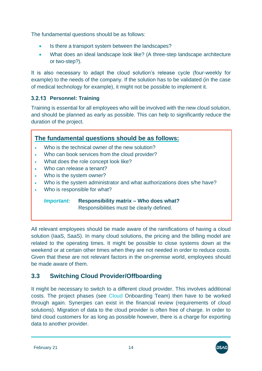The fundamental questions should be as follows:

- Is there a transport system between the landscapes?
- What does an ideal landscape look like? (A three-step landscape architecture or two-step?).

It is also necessary to adapt the cloud solution's release cycle (four-weekly for example) to the needs of the company. If the solution has to be validated (in the case of medical technology for example), it might not be possible to implement it.

# <span id="page-13-0"></span>**Personnel: Training**

Training is essential for all employees who will be involved with the new cloud solution, and should be planned as early as possible. This can help to significantly reduce the duration of the project.

|           |                                                | The fundamental questions should be as follows:                                     |  |
|-----------|------------------------------------------------|-------------------------------------------------------------------------------------|--|
|           |                                                | Who is the technical owner of the new solution?                                     |  |
|           | Who can book services from the cloud provider? |                                                                                     |  |
|           | What does the role concept look like?          |                                                                                     |  |
| ٠         | Who can release a tenant?                      |                                                                                     |  |
| $\bullet$ | Who is the system owner?                       |                                                                                     |  |
| $\bullet$ |                                                | Who is the system administrator and what authorizations does s/he have?             |  |
|           |                                                | Who is responsible for what?                                                        |  |
|           | <i><b>Important:</b></i>                       | Responsibility matrix - Who does what?<br>Responsibilities must be clearly defined. |  |
|           |                                                | All relevant employees should be made aware of the ramifications of having a clou   |  |

All relevant employees should be made aware of the ramifications of having a cloud solution (IaaS, SaaS). In many cloud solutions, the pricing and the billing model are related to the operating times. It might be possible to close systems down at the weekend or at certain other times when they are not needed in order to reduce costs. Given that these are not relevant factors in the on-premise world, employees should be made aware of them.

# <span id="page-13-1"></span>**3.3 Switching Cloud Provider/Offboarding**

It might be necessary to switch to a different cloud provider. This involves additional costs. The project phases (see Cloud [Onboarding Team\)](#page-8-2) then have to be worked through again. Synergies can exist in the financial review (requirements of cloud solutions). Migration of data to the cloud provider is often free of charge. In order to bind cloud customers for as long as possible however, there is a charge for exporting data to another provider.

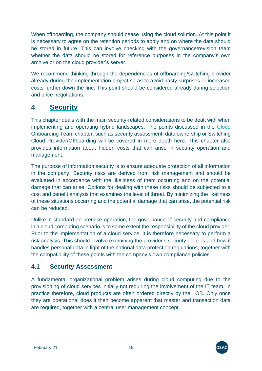When offboarding, the company should cease using the cloud solution. At this point it is necessary to agree on the retention periods to apply and on where the data should be stored in future. This can involve checking with the governance/revision team whether the data should be stored for reference purposes in the company's own archive or on the cloud provider's server.

We recommend thinking through the dependencies of offboarding/switching provider already during the implementation project so as to avoid nasty surprises or increased costs further down the line. This point should be considered already during selection and price negotiations.

# <span id="page-14-0"></span>**4 Security**

This chapter deals with the main security-related considerations to be dealt with when implementing and operating hybrid landscapes. The points discussed in the [Cloud](#page-8-2) [Onboarding Team](#page-8-2) chapter, such as security assessment, data ownership or [Switching](#page-13-1)  [Cloud Provider/Offboarding](#page-13-1) will be covered in more depth here. This chapter also provides information about hidden costs that can arise in security operation and management.

The purpose of information security is to ensure adequate protection of all information in the company. Security risks are derived from risk management and should be evaluated in accordance with the likeliness of them occurring and on the potential damage that can arise. Options for dealing with these risks should be subjected to a cost and benefit analysis that examines the level of threat. By minimizing the likeliness of these situations occurring and the potential damage that can arise, the potential risk can be reduced.

Unlike in standard on-premise operation, the governance of security and compliance in a cloud computing scenario is to some extent the responsibility of the cloud provider. Prior to the implementation of a cloud service, it is therefore necessary to perform a risk analysis. This should involve examining the provider's security policies and how it handles personal data in light of the national data protection regulations, together with the compatibility of these points with the company's own compliance policies.

# <span id="page-14-1"></span>**4.1 Security Assessment**

A fundamental organizational problem arises during cloud computing due to the provisioning of cloud services initially not requiring the involvement of the IT team. In practice therefore, cloud products are often ordered directly by the LOB. Only once they are operational does it then become apparent that master and transaction data are required, together with a central user management concept.

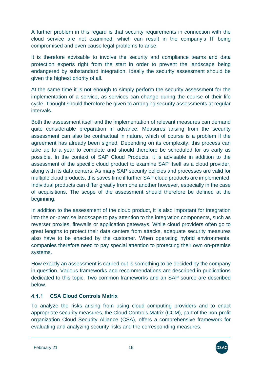A further problem in this regard is that security requirements in connection with the cloud service are not examined, which can result in the company's IT being compromised and even cause legal problems to arise.

It is therefore advisable to involve the security and compliance teams and data protection experts right from the start in order to prevent the landscape being endangered by substandard integration. Ideally the security assessment should be given the highest priority of all.

At the same time it is not enough to simply perform the security assessment for the implementation of a service, as services can change during the course of their life cycle. Thought should therefore be given to arranging security assessments at regular intervals.

Both the assessment itself and the implementation of relevant measures can demand quite considerable preparation in advance. Measures arising from the security assessment can also be contractual in nature, which of course is a problem if the agreement has already been signed. Depending on its complexity, this process can take up to a year to complete and should therefore be scheduled for as early as possible. In the context of SAP Cloud Products, it is advisable in addition to the assessment of the specific cloud product to examine SAP itself as a cloud provider, along with its data centers. As many SAP security policies and processes are valid for multiple cloud products, this saves time if further SAP cloud products are implemented. Individual products can differ greatly from one another however, especially in the case of acquisitions. The scope of the assessment should therefore be defined at the beginning.

In addition to the assessment of the cloud product, it is also important for integration into the on-premise landscape to pay attention to the integration components, such as reverser proxies, firewalls or application gateways. While cloud providers often go to great lengths to protect their data centers from attacks, adequate security measures also have to be enacted by the customer. When operating hybrid environments, companies therefore need to pay special attention to protecting their own on-premise systems.

How exactly an assessment is carried out is something to be decided by the company in question. Various frameworks and recommendations are described in publications dedicated to this topic. Two common frameworks and an SAP source are described below.

#### <span id="page-15-0"></span> $4.1.1$ **CSA Cloud Controls Matrix**

To analyze the risks arising from using cloud computing providers and to enact appropriate security measures, the Cloud Controls Matrix (CCM), part of the non-profit organization Cloud Security Alliance (CSA), offers a comprehensive framework for evaluating and analyzing security risks and the corresponding measures.

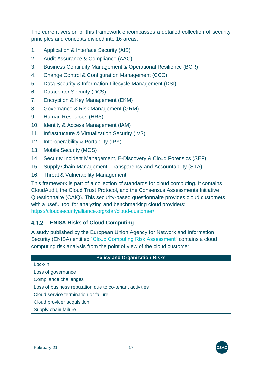The current version of this framework encompasses a detailed collection of security principles and concepts divided into 16 areas:

- 1. Application & Interface Security (AIS)
- 2. Audit Assurance & Compliance (AAC)
- 3. Business Continuity Management & Operational Resilience (BCR)
- 4. Change Control & Configuration Management (CCC)
- 5. Data Security & Information Lifecycle Management (DSI)
- 6. Datacenter Security (DCS)
- 7. Encryption & Key Management (EKM)
- 8. Governance & Risk Management (GRM)
- 9. Human Resources (HRS)
- 10. Identity & Access Management (IAM)
- 11. Infrastructure & Virtualization Security (IVS)
- 12. Interoperability & Portability (IPY)
- 13. Mobile Security (MOS)
- 14. Security Incident Management, E-Discovery & Cloud Forensics (SEF)
- 15. Supply Chain Management, Transparency and Accountability (STA)
- 16. Threat & Vulnerability Management

This framework is part of a collection of standards for cloud computing. It contains CloudAudit, the Cloud Trust Protocol, and the Consensus Assessments Initiative Questionnaire (CAIQ). This security-based questionnaire provides cloud customers with a useful tool for analyzing and benchmarking cloud providers: [https://cloudsecurityalliance.org/star/cloud-customer/.](https://cloudsecurityalliance.org/star/cloud-customer/)

# <span id="page-16-0"></span>**ENISA Risks of Cloud Computing**

A study published by the European Union Agency for Network and Information Security (ENISA) entitled ["Cloud Computing Risk Assessment"](https://www.enisa.europa.eu/publications/cloud-computing-risk-assessment) contains a cloud computing risk analysis from the point of view of the cloud customer.

| <b>Policy and Organization Risks</b>                    |  |  |  |  |
|---------------------------------------------------------|--|--|--|--|
| Lock-in                                                 |  |  |  |  |
| Loss of governance                                      |  |  |  |  |
| Compliance challenges                                   |  |  |  |  |
| Loss of business reputation due to co-tenant activities |  |  |  |  |
| Cloud service termination or failure                    |  |  |  |  |
| Cloud provider acquisition                              |  |  |  |  |
| Supply chain failure                                    |  |  |  |  |
|                                                         |  |  |  |  |

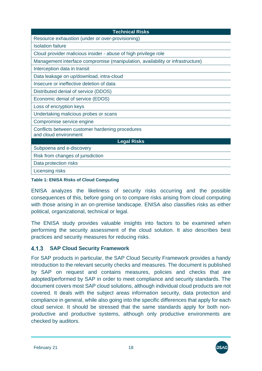| <b>Technical Risks</b>                                                         |
|--------------------------------------------------------------------------------|
| Resource exhaustion (under or over-provisioning)                               |
| <b>Isolation failure</b>                                                       |
| Cloud provider malicious insider - abuse of high privilege role                |
| Management interface compromise (manipulation, availability or infrastructure) |
| Interception data in transit                                                   |
| Data leakage on up/download, intra-cloud                                       |
| Insecure or ineffective deletion of data                                       |
| Distributed denial of service (DDOS)                                           |
| Economic denial of service (EDOS)                                              |
| Loss of encryption keys                                                        |
| Undertaking malicious probes or scans                                          |
| Compromise service engine                                                      |
| Conflicts between customer hardening procedures<br>and cloud environment       |
| <b>Legal Risks</b>                                                             |
| Subpoena and e-discovery                                                       |
| Risk from changes of jurisdiction                                              |
| Data protection risks                                                          |
| <b>Licensing risks</b>                                                         |

### <span id="page-17-1"></span>**Table 1: ENISA Risks of Cloud Computing**

ENISA analyzes the likeliness of security risks occurring and the possible consequences of this, before going on to compare risks arising from cloud computing with those arising in an on-premise landscape. ENISA also classifies risks as either political, organizational, technical or legal.

The ENISA study provides valuable insights into factors to be examined when performing the security assessment of the cloud solution. It also describes best practices and security measures for reducing risks.

#### <span id="page-17-0"></span> $4.1.3$ **SAP Cloud Security Framework**

For SAP products in particular, the SAP Cloud Security Framework provides a handy introduction to the relevant security checks and measures. The document is published by SAP on request and contains measures, policies and checks that are adopted/performed by SAP in order to meet compliance and security standards. The document covers most SAP cloud solutions, although individual cloud products are not covered. It deals with the subject areas information security, data protection and compliance in general, while also going into the specific differences that apply for each cloud service. It should be stressed that the same standards apply for both nonproductive and productive systems, although only productive environments are checked by auditors.

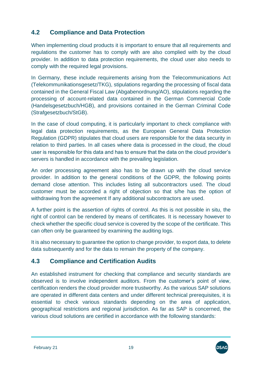# <span id="page-18-0"></span>**4.2 Compliance and Data Protection**

When implementing cloud products it is important to ensure that all requirements and regulations the customer has to comply with are also complied with by the cloud provider. In addition to data protection requirements, the cloud user also needs to comply with the required legal provisions.

In Germany, these include requirements arising from the Telecommunications Act (Telekommunikationsgesetz/TKG), stipulations regarding the processing of fiscal data contained in the General Fiscal Law (Abgabenordnung/AO), stipulations regarding the processing of account-related data contained in the German Commercial Code (Handelsgesetzbuch/HGB), and provisions contained in the German Criminal Code (Strafgesetzbuch/StGB).

In the case of cloud computing, it is particularly important to check compliance with legal data protection requirements, as the European General Data Protection Regulation (GDPR) stipulates that cloud users are responsible for the data security in relation to third parties. In all cases where data is processed in the cloud, the cloud user is responsible for this data and has to ensure that the data on the cloud provider's servers is handled in accordance with the prevailing legislation.

An order processing agreement also has to be drawn up with the cloud service provider. In addition to the general conditions of the GDPR, the following points demand close attention. This includes listing all subcontractors used. The cloud customer must be accorded a right of objection so that s/he has the option of withdrawing from the agreement If any additional subcontractors are used.

A further point is the assertion of rights of control. As this is not possible in situ, the right of control can be rendered by means of certificates. It is necessary however to check whether the specific cloud service is covered by the scope of the certificate. This can often only be guaranteed by examining the auditing logs.

It is also necessary to guarantee the option to change provider, to export data, to delete data subsequently and for the data to remain the property of the company.

# <span id="page-18-1"></span>**4.3 Compliance and Certification Audits**

An established instrument for checking that compliance and security standards are observed is to involve independent auditors. From the customer's point of view, certification renders the cloud provider more trustworthy. As the various SAP solutions are operated in different data centers and under different technical prerequisites, it is essential to check various standards depending on the area of application, geographical restrictions and regional jurisdiction. As far as SAP is concerned, the various cloud solutions are certified in accordance with the following standards:

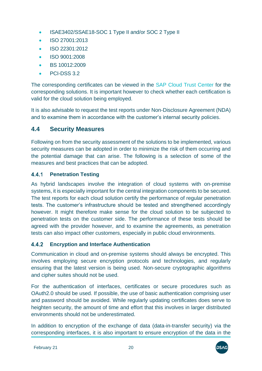- ISAE3402/SSAE18-SOC 1 Type II and/or SOC 2 Type II
- ISO 27001:2013
- ISO 22301:2012
- ISO 9001:2008
- BS 10012:2009
- PCI-DSS 3.2

The corresponding certificates can be viewed in the [SAP Cloud Trust Center](https://www.sap.com/about/trust-center/) for the corresponding solutions. It is important however to check whether each certification is valid for the cloud solution being employed.

It is also advisable to request the test reports under Non-Disclosure Agreement (NDA) and to examine them in accordance with the customer's internal security policies.

# <span id="page-19-0"></span>**4.4 Security Measures**

Following on from the security assessment of the solutions to be implemented, various security measures can be adopted in order to minimize the risk of them occurring and the potential damage that can arise. The following is a selection of some of the measures and best practices that can be adopted.

#### <span id="page-19-1"></span>**Penetration Testing** 4.4.1

As hybrid landscapes involve the integration of cloud systems with on-premise systems, it is especially important for the central integration components to be secured. The test reports for each cloud solution certify the performance of regular penetration tests. The customer's infrastructure should be tested and strengthened accordingly however. It might therefore make sense for the cloud solution to be subjected to penetration tests on the customer side. The performance of these tests should be agreed with the provider however, and to examine the agreements, as penetration tests can also impact other customers, especially in public cloud environments.

### <span id="page-19-2"></span>**Encryption and Interface Authentication**

Communication in cloud and on-premise systems should always be encrypted. This involves employing secure encryption protocols and technologies, and regularly ensuring that the latest version is being used. Non-secure cryptographic algorithms and cipher suites should not be used.

For the authentication of interfaces, certificates or secure procedures such as OAuth2.0 should be used. If possible, the use of basic authentication comprising user and password should be avoided. While regularly updating certificates does serve to heighten security, the amount of time and effort that this involves in larger distributed environments should not be underestimated.

In addition to encryption of the exchange of data (data-in-transfer security) via the corresponding interfaces, it is also important to ensure encryption of the data in the

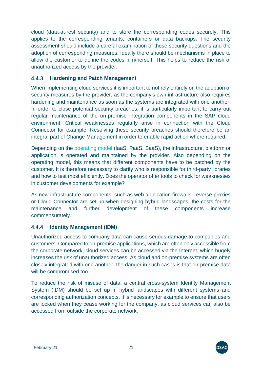cloud (data-at-rest security) and to store the corresponding codes securely. This applies to the corresponding tenants, containers or data backups. The security assessment should include a careful examination of these security questions and the adoption of corresponding measures. Ideally there should be mechanisms in place to allow the customer to define the codes him/herself. This helps to reduce the risk of unauthorized access by the provider.

#### <span id="page-20-0"></span> $4.4.3$ **Hardening and Patch Management**

When implementing cloud services it is important to not rely entirely on the adoption of security measures by the provider, as the company's own infrastructure also requires hardening and maintenance as soon as the systems are integrated with one another. In order to close potential security breaches, it is particularly important to carry out regular maintenance of the on-premise integration components in the SAP cloud environment. Critical weaknesses regularly arise in connection with the Cloud Connector for example. Resolving these security breaches should therefore be an integral part of Change Management in order to enable rapid action where required.

Depending on the [operating model](https://support.sap.com/en/tools/software-logistics-tools/landscape-management-process.html#panel-section-accordion-accordionitem-body) (IaaS, PaaS, SaaS), the infrastructure, platform or application is operated and maintained by the provider. Also depending on the operating model, this means that different components have to be patched by the customer. It is therefore necessary to clarify who is responsible for third-party libraries and how to test most efficiently. Does the operator offer tools to check for weaknesses in customer developments for example?

As new infrastructure components, such as web application firewalls, reverse proxies or Cloud Connector are set up when designing hybrid landscapes, the costs for the maintenance and further development of these components increase commensurately.

#### <span id="page-20-1"></span>4.4.4 **Identity Management (IDM)**

Unauthorized access to company data can cause serious damage to companies and customers. Compared to on-premise applications, which are often only accessible from the corporate network, cloud services can be accessed via the Internet, which hugely increases the risk of unauthorized access. As cloud and on-premise systems are often closely integrated with one another, the danger in such cases is that on-premise data will be compromised too.

To reduce the risk of misuse of data, a central cross-system Identity Management System (IDM) should be set up in hybrid landscapes with different systems and corresponding authorization concepts. It is necessary for example to ensure that users are locked when they cease working for the company, as cloud services can also be accessed from outside the corporate network.

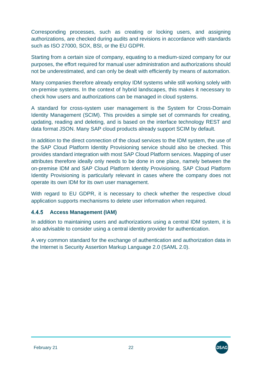Corresponding processes, such as creating or locking users, and assigning authorizations, are checked during audits and revisions in accordance with standards such as ISO 27000, SOX, BSI, or the EU GDPR.

Starting from a certain size of company, equating to a medium-sized company for our purposes, the effort required for manual user administration and authorizations should not be underestimated, and can only be dealt with efficiently by means of automation.

Many companies therefore already employ IDM systems while still working solely with on-premise systems. In the context of hybrid landscapes, this makes it necessary to check how users and authorizations can be managed in cloud systems.

A standard for cross-system user management is the System for Cross-Domain Identity Management (SCIM). This provides a simple set of commands for creating, updating, reading and deleting, and is based on the interface technology REST and data format JSON. Many SAP cloud products already support SCIM by default.

In addition to the direct connection of the cloud services to the IDM system, the use of the SAP Cloud Platform Identity Provisioning service should also be checked. This provides standard integration with most SAP Cloud Platform services. Mapping of user attributes therefore ideally only needs to be done in one place, namely between the on-premise IDM and SAP Cloud Platform Identity Provisioning. SAP Cloud Platform Identity Provisioning is particularly relevant in cases where the company does not operate its own IDM for its own user management.

With regard to EU GDPR, it is necessary to check whether the respective cloud application supports mechanisms to delete user information when required.

#### <span id="page-21-0"></span>**Access Management (IAM)** 4.4.5

In addition to maintaining users and authorizations using a central IDM system, it is also advisable to consider using a central identity provider for authentication.

A very common standard for the exchange of authentication and authorization data in the Internet is Security Assertion Markup Language 2.0 (SAML 2.0).

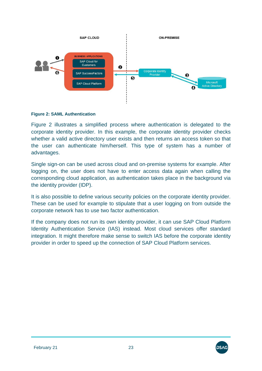

### <span id="page-22-0"></span>**Figure 2: SAML Authentication**

[Figure 2](#page-22-0) illustrates a simplified process where authentication is delegated to the corporate identity provider. In this example, the corporate identity provider checks whether a valid active directory user exists and then returns an access token so that the user can authenticate him/herself. This type of system has a number of advantages.

Single sign-on can be used across cloud and on-premise systems for example. After logging on, the user does not have to enter access data again when calling the corresponding cloud application, as authentication takes place in the background via the identity provider (IDP).

It is also possible to define various security policies on the corporate identity provider. These can be used for example to stipulate that a user logging on from outside the corporate network has to use two factor authentication.

If the company does not run its own identity provider, it can use SAP Cloud Platform Identity Authentication Service (IAS) instead. Most cloud services offer standard integration. It might therefore make sense to switch IAS before the corporate identity provider in order to speed up the connection of SAP Cloud Platform services.

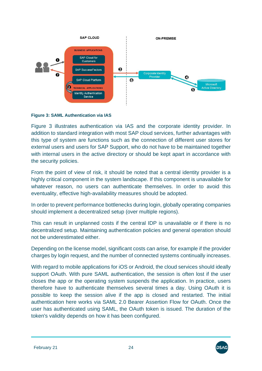

### <span id="page-23-0"></span>**Figure 3: SAML Authentication via IAS**

[Figure 3](#page-23-0) illustrates authentication via IAS and the corporate identity provider. In addition to standard integration with most SAP cloud services, further advantages with this type of system are functions such as the connection of different user stores for external users and users for SAP Support, who do not have to be maintained together with internal users in the active directory or should be kept apart in accordance with the security policies.

From the point of view of risk, it should be noted that a central identity provider is a highly critical component in the system landscape. If this component is unavailable for whatever reason, no users can authenticate themselves. In order to avoid this eventuality, effective high-availability measures should be adopted.

In order to prevent performance bottlenecks during login, globally operating companies should implement a decentralized setup (over multiple regions).

This can result in unplanned costs if the central IDP is unavailable or if there is no decentralized setup. Maintaining authentication policies and general operation should not be underestimated either.

Depending on the license model, significant costs can arise, for example if the provider charges by login request, and the number of connected systems continually increases.

With regard to mobile applications for iOS or Android, the cloud services should ideally support OAuth. With pure SAML authentication, the session is often lost if the user closes the app or the operating system suspends the application. In practice, users therefore have to authenticate themselves several times a day. Using OAuth it is possible to keep the session alive if the app is closed and restarted. The initial authentication here works via SAML 2.0 Bearer Assertion Flow for OAuth. Once the user has authenticated using SAML, the OAuth token is issued. The duration of the token's validity depends on how it has been configured.

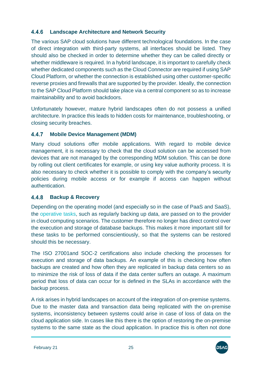#### <span id="page-24-0"></span>4.4.6 **Landscape Architecture and Network Security**

The various SAP cloud solutions have different technological foundations. In the case of direct integration with third-party systems, all interfaces should be listed. They should also be checked in order to determine whether they can be called directly or whether middleware is required. In a hybrid landscape, it is important to carefully check whether dedicated components such as the Cloud Connector are required if using SAP Cloud Platform, or whether the connection is established using other customer-specific reverse proxies and firewalls that are supported by the provider. Ideally, the connection to the SAP Cloud Platform should take place via a central component so as to increase maintainability and to avoid backdoors.

Unfortunately however, mature hybrid landscapes often do not possess a unified architecture. In practice this leads to hidden costs for maintenance, troubleshooting, or closing security breaches.

#### <span id="page-24-1"></span>4.4.7 **Mobile Device Management (MDM)**

Many cloud solutions offer mobile applications. With regard to mobile device management, it is necessary to check that the cloud solution can be accessed from devices that are not managed by the corresponding MDM solution. This can be done by rolling out client certificates for example, or using key value authority process. It is also necessary to check whether it is possible to comply with the company's security policies during mobile access or for example if access can happen without authentication.

#### <span id="page-24-2"></span>4.4.8 **Backup & Recovery**

Depending on the operating model (and especially so in the case of PaaS and SaaS), the [operative tasks,](#page-29-1) such as regularly backing up data, are passed on to the provider in cloud computing scenarios. The customer therefore no longer has direct control over the execution and storage of database backups. This makes it more important still for these tasks to be performed conscientiously, so that the systems can be restored should this be necessary.

The ISO 27001and SOC-2 certifications also include checking the processes for execution and storage of data backups. An example of this is checking how often backups are created and how often they are replicated in backup data centers so as to minimize the risk of loss of data if the data center suffers an outage. A maximum period that loss of data can occur for is defined in the SLAs in accordance with the backup process.

A risk arises in hybrid landscapes on account of the integration of on-premise systems. Due to the master data and transaction data being replicated with the on-premise systems, inconsistency between systems could arise in case of loss of data on the cloud application side. In cases like this there is the option of restoring the on-premise systems to the same state as the cloud application. In practice this is often not done

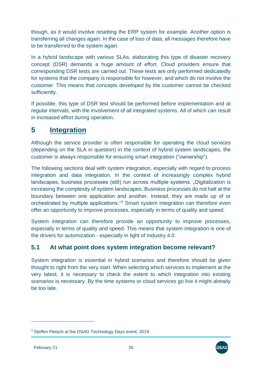though, as it would involve resetting the ERP system for example. Another option is transferring all changes again. In the case of loss of data, all messages therefore have to be transferred to the system again.

In a hybrid landscape with various SLAs, elaborating this type of disaster recovery concept (DSR) demands a huge amount of effort. Cloud providers ensure that corresponding DSR tests are carried out. These tests are only performed dedicatedly for systems that the company is responsible for however, and which do not involve the customer. This means that concepts developed by the customer cannot be checked sufficiently.

If possible, this type of DSR test should be performed before implementation and at regular intervals, with the involvement of all integrated systems. All of which can result in increased effort during operation.

# <span id="page-25-0"></span>**5 Integration**

Although the service provider is often responsible for operating the cloud services (depending on the SLA in question) in the context of hybrid system landscapes, the customer is always responsible for ensuring smart integration ("ownership").

The following sections deal with system integration, especially with regard to process integration and data integration. In the context of increasingly complex hybrid landscapes, business processes (still) run across multiple systems. "Digitalization is increasing the complexity of system landscapes. Business processes do not halt at the boundary between one application and another. Instead, they are made up of or orchestrated by multiple applications."<sup>3</sup> Smart system integration can therefore even offer an opportunity to improve processes, especially in terms of quality and speed.

System integration can therefore provide an opportunity to improve processes, especially in terms of quality and speed. This means that system integration is one of the drivers for automization - especially in light of Industry 4.0.

# <span id="page-25-1"></span>**5.1 At what point does system integration become relevant?**

System integration is essential in hybrid scenarios and therefore should be given thought to right from the very start. When selecting which services to implement at the very latest, it is necessary to check the extent to which integration into existing scenarios is necessary. By the time systems or cloud services go live it might already be too late.



<sup>&</sup>lt;sup>3</sup> Steffen Pietsch at the DSAG Technology Days event, 2019.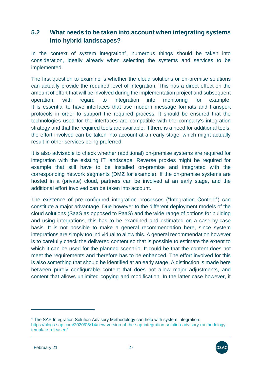# <span id="page-26-0"></span>**5.2 What needs to be taken into account when integrating systems into hybrid landscapes?**

In the context of system integration<sup>4</sup>, numerous things should be taken into consideration, ideally already when selecting the systems and services to be implemented.

The first question to examine is whether the cloud solutions or on-premise solutions can actually provide the required level of integration. This has a direct effect on the amount of effort that will be involved during the implementation project and subsequent operation, with regard to integration into monitoring for example. It is essential to have interfaces that use modern message formats and transport protocols in order to support the required process. It should be ensured that the technologies used for the interfaces are compatible with the company's integration strategy and that the required tools are available. If there is a need for additional tools, the effort involved can be taken into account at an early stage, which might actually result in other services being preferred.

It is also advisable to check whether (additional) on-premise systems are required for integration with the existing IT landscape. Reverse proxies might be required for example that still have to be installed on-premise and integrated with the corresponding network segments (DMZ for example). If the on-premise systems are hosted in a (private) cloud, partners can be involved at an early stage, and the additional effort involved can be taken into account.

The existence of pre-configured integration processes ("Integration Content") can constitute a major advantage. Due however to the different deployment models of the cloud solutions (SaaS as opposed to PaaS) and the wide range of options for building and using integrations, this has to be examined and estimated on a case-by-case basis. It is not possible to make a general recommendation here, since system integrations are simply too individual to allow this. A general recommendation however is to carefully check the delivered content so that is possible to estimate the extent to which it can be used for the planned scenario. It could be that the content does not meet the requirements and therefore has to be enhanced. The effort involved for this is also something that should be identified at an early stage. A distinction is made here between purely configurable content that does not allow major adjustments, and content that allows unlimited copying and modification. In the latter case however, it



<sup>4</sup> The SAP Integration Solution Advisory Methodology can help with system integration: [https://blogs.sap.com/2020/05/14/new-version-of-the-sap-integration-solution-advisory-methodology](https://blogs.sap.com/2020/05/14/new-version-of-the-sap-integration-solution-advisory-methodology-template-released/)[template-released/](https://blogs.sap.com/2020/05/14/new-version-of-the-sap-integration-solution-advisory-methodology-template-released/)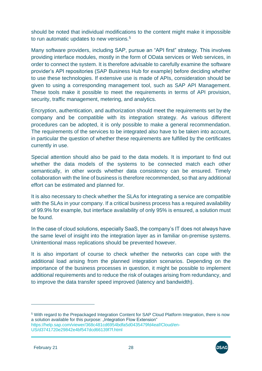should be noted that individual modifications to the content might make it impossible to run automatic updates to new versions.<sup>5</sup>

Many software providers, including SAP, pursue an "API first" strategy. This involves providing interface modules, mostly in the form of OData services or Web services, in order to connect the system. It is therefore advisable to carefully examine the software provider's API repositories (SAP Business Hub for example) before deciding whether to use these technologies. If extensive use is made of APIs, consideration should be given to using a corresponding management tool, such as SAP API Management. These tools make it possible to meet the requirements in terms of API provision, security, traffic management, metering, and analytics.

Encryption, authentication, and authorization should meet the requirements set by the company and be compatible with its integration strategy. As various different procedures can be adopted, it is only possible to make a general recommendation. The requirements of the services to be integrated also have to be taken into account, in particular the question of whether these requirements are fulfilled by the certificates currently in use.

Special attention should also be paid to the data models. It is important to find out whether the data models of the systems to be connected match each other semantically, in other words whether data consistency can be ensured. Timely collaboration with the line of business is therefore recommended, so that any additional effort can be estimated and planned for.

It is also necessary to check whether the SLAs for integrating a service are compatible with the SLAs in your company. If a critical business process has a required availability of 99.9% for example, but interface availability of only 95% is ensured, a solution must be found.

In the case of cloud solutions, especially SaaS, the company's IT does not always have the same level of insight into the integration layer as in familiar on-premise systems. Unintentional mass replications should be prevented however.

It is also important of course to check whether the networks can cope with the additional load arising from the planned integration scenarios. Depending on the importance of the business processes in question, it might be possible to implement additional requirements and to reduce the risk of outages arising from redundancy, and to improve the data transfer speed improved (latency and bandwidth).



<sup>5</sup> With regard to the Prepackaged Integration Content for SAP Cloud Platform Integration, there is now a solution available for this purpose: "Integration Flow Extension" [https://help.sap.com/viewer/368c481cd6954bdfa5d0435479fd4eaf/Cloud/en-](https://help.sap.com/viewer/368c481cd6954bdfa5d0435479fd4eaf/Cloud/en-US/d3741720e29842e4bf547dcd66139f7f.html)[US/d3741720e29842e4bf547dcd66139f7f.html](https://help.sap.com/viewer/368c481cd6954bdfa5d0435479fd4eaf/Cloud/en-US/d3741720e29842e4bf547dcd66139f7f.html)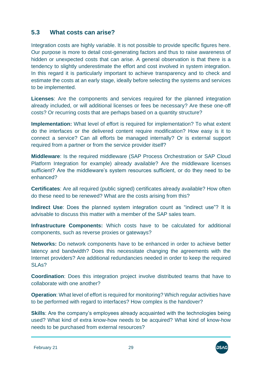# <span id="page-28-0"></span>**5.3 What costs can arise?**

Integration costs are highly variable. It is not possible to provide specific figures here. Our purpose is more to detail cost-generating factors and thus to raise awareness of hidden or unexpected costs that can arise. A general observation is that there is a tendency to slightly underestimate the effort and cost involved in system integration. In this regard it is particularly important to achieve transparency and to check and estimate the costs at an early stage, ideally before selecting the systems and services to be implemented.

**Licenses**: Are the components and services required for the planned integration already included, or will additional licenses or fees be necessary? Are these one-off costs? Or recurring costs that are perhaps based on a quantity structure?

**Implementation:** What level of effort is required for implementation? To what extent do the interfaces or the delivered content require modification? How easy is it to connect a service? Can all efforts be managed internally? Or is external support required from a partner or from the service provider itself?

**Middleware**: Is the required middleware (SAP Process Orchestration or SAP Cloud Platform Integration for example) already available? Are the middleware licenses sufficient? Are the middleware's system resources sufficient, or do they need to be enhanced?

**Certificates**: Are all required (public signed) certificates already available? How often do these need to be renewed? What are the costs arising from this?

**Indirect Use**: Does the planned system integration count as "indirect use"? It is advisable to discuss this matter with a member of the SAP sales team.

**Infrastructure Components:** Which costs have to be calculated for additional components, such as reverse proxies or gateways?

**Networks:** Do network components have to be enhanced in order to achieve better latency and bandwidth? Does this necessitate changing the agreements with the Internet providers? Are additional redundancies needed in order to keep the required SLAs?

**Coordination**: Does this integration project involve distributed teams that have to collaborate with one another?

**Operation**: What level of effort is required for monitoring? Which regular activities have to be performed with regard to interfaces? How complex is the handover?

**Skills**: Are the company's employees already acquainted with the technologies being used? What kind of extra know-how needs to be acquired? What kind of know-how needs to be purchased from external resources?

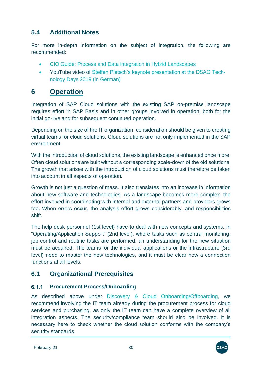# <span id="page-29-0"></span>**5.4 Additional Notes**

For more in-depth information on the subject of integration, the following are recommended:

- [CIO Guide: Process and Data Integration in Hybrid Landscapes](https://www.sap.com/documents/2018/06/de3238a0-077d-0010-87a3-c30de2ffd8ff.html?infl=9bbc7451-ebf8-48df-83cc-2dd741708462)
- YouTube video of [Steffen Pietsch's keynote presentation at the DSAG Tech](https://www.youtube.com/watch?v=W9EnN5mCCrs)[nology Days 2019 \(in German\)](https://www.youtube.com/watch?v=W9EnN5mCCrs)

# <span id="page-29-1"></span>**6 Operation**

Integration of SAP Cloud solutions with the existing SAP on-premise landscape requires effort in SAP Basis and in other groups involved in operation, both for the initial go-live and for subsequent continued operation.

Depending on the size of the IT organization, consideration should be given to creating virtual teams for cloud solutions. Cloud solutions are not only implemented in the SAP environment.

With the introduction of cloud solutions, the existing landscape is enhanced once more. Often cloud solutions are built without a corresponding scale-down of the old solutions. The growth that arises with the introduction of cloud solutions must therefore be taken into account in all aspects of operation.

Growth is not just a question of mass. It also translates into an increase in information about new software and technologies. As a landscape becomes more complex, the effort involved in coordinating with internal and external partners and providers grows too. When errors occur, the analysis effort grows considerably, and responsibilities shift.

The help desk personnel (1st level) have to deal with new concepts and systems. In "Operating/Application Support" (2nd level), where tasks such as central monitoring, job control and routine tasks are performed, an understanding for the new situation must be acquired. The teams for the individual applications or the infrastructure (3rd level) need to master the new technologies, and it must be clear how a connection functions at all levels.

# <span id="page-29-2"></span>**6.1 Organizational Prerequisites**

#### <span id="page-29-3"></span> $6.1.1$ **Procurement Process/Onboarding**

As described above under [Discovery & Cloud Onboarding/Offboarding,](#page-8-1) we recommend involving the IT team already during the procurement process for cloud services and purchasing, as only the IT team can have a complete overview of all integration aspects. The security/compliance team should also be involved. It is necessary here to check whether the cloud solution conforms with the company's security standards.

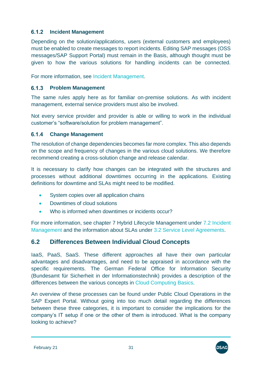#### <span id="page-30-0"></span> $6.1.2$ **Incident Management**

Depending on the solution/applications, users (external customers and employees) must be enabled to create messages to report incidents. Editing SAP messages (OSS messages/SAP Support Portal) must remain in the Basis, although thought must be given to how the various solutions for handling incidents can be connected.

For more information, see [Incident Management.](#page-40-0)

#### <span id="page-30-1"></span> $6.1.3$ **Problem Management**

The same rules apply here as for familiar on-premise solutions. As with incident management, external service providers must also be involved.

Not every service provider and provider is able or willing to work in the individual customer's "software/solution for problem management".

### <span id="page-30-2"></span>**Change Management**

The resolution of change dependencies becomes far more complex. This also depends on the scope and frequency of changes in the various cloud solutions. We therefore recommend creating a cross-solution change and release calendar.

It is necessary to clarify how changes can be integrated with the structures and processes without additional downtimes occurring in the applications. Existing definitions for downtime and SLAs might need to be modified.

- System copies over all application chains
- Downtimes of cloud solutions
- Who is informed when downtimes or incidents occur?

For more information, see chapter 7 [Hybrid Lifecycle Management](#page-38-0) under 7.2 [Incident](#page-40-0)  [Management](#page-40-0) and the information about SLAs under [3.2 Service Level Agreements.](#page-9-1)

# <span id="page-30-3"></span>**6.2 Differences Between Individual Cloud Concepts**

IaaS, PaaS, SaaS. These different approaches all have their own particular advantages and disadvantages, and need to be appraised in accordance with the specific requirements. The German Federal Office for Information Security (Bundesamt für Sicherheit in der Informationstechnik) provides a description of the differences between the various concepts in [Cloud Computing Basics.](https://www.bsi.bund.de/EN/Topics/CloudComputing/Basics/Basics_node.html)

An overview of these processes can be found under [Public Cloud Operations](https://support.sap.com/en/alm/solution-manager/expert-portal/public-cloud-operations.html) in the SAP Expert Portal. Without going into too much detail regarding the differences between these three categories, it is important to consider the implications for the company's IT setup if one or the other of them is introduced. What is the company looking to achieve?

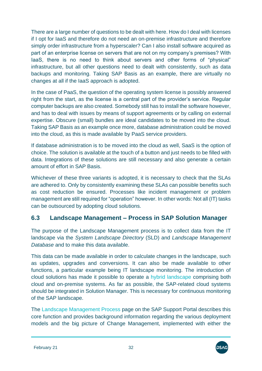There are a large number of questions to be dealt with here. How do I deal with licenses if I opt for IaaS and therefore do not need an on-premise infrastructure and therefore simply order infrastructure from a hyperscaler? Can I also install software acquired as part of an enterprise license on servers that are not on my company's premises? With IaaS, there is no need to think about servers and other forms of "physical" infrastructure, but all other questions need to dealt with consistently, such as data backups and monitoring. Taking SAP Basis as an example, there are virtually no changes at all if the IaaS approach is adopted.

In the case of PaaS, the question of the operating system license is possibly answered right from the start, as the license is a central part of the provider's service. Regular computer backups are also created. Somebody still has to install the software however, and has to deal with issues by means of support agreements or by calling on external expertise. Obscure (small) bundles are ideal candidates to be moved into the cloud. Taking SAP Basis as an example once more, database administration could be moved into the cloud, as this is made available by PaaS service providers.

If database administration is to be moved into the cloud as well, SaaS is the option of choice. The solution is available at the touch of a button and just needs to be filled with data. Integrations of these solutions are still necessary and also generate a certain amount of effort in SAP Basis.

Whichever of these three variants is adopted, it is necessary to check that the SLAs are adhered to. Only by consistently examining these SLAs can possible benefits such as cost reduction be ensured. Processes like incident management or problem management are still required for "operation" however. In other words: Not all (IT) tasks can be outsourced by adopting cloud solutions.

# <span id="page-31-0"></span>**6.3 Landscape Management – Process in SAP Solution Manager**

The purpose of the Landscape Management process is to collect data from the IT landscape via the *System Landscape Directory* (SLD) and *Landscape Management Database* and to make this data available.

This data can be made available in order to calculate changes in the landscape, such as updates, upgrades and conversions. It can also be made available to other functions, a particular example being IT landscape monitoring. The introduction of cloud solutions has made it possible to operate a [hybrid landscape](https://support.sap.com/en/tools/software-logistics-tools/landscape-management-process.html#panel-section-accordion-accordionitem-body) comprising both cloud and on-premise systems. As far as possible, the SAP-related cloud systems should be integrated in Solution Manager. This is necessary for continuous monitoring of the SAP landscape.

The [Landscape Management Process](https://sap.com/landscape-management-process) page on the SAP Support Portal describes this core function and provides background information regarding the various deployment models and the big picture of Change Management, implemented with either the

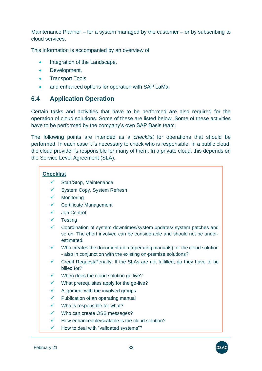Maintenance Planner – for a system managed by the customer – or by subscribing to cloud services.

This information is accompanied by an overview of

- [Integration of the Landscape,](https://support.sap.com/en/tools/software-logistics-tools/landscape-management-process.html#panel-section-accordion_1844628003-accordionitem_863147625-body)
- Development,
- [Transport Tools](https://support.sap.com/en/tools/software-logistics-tools/landscape-management-process.html#panel-section-accordion_1844628003-accordionitem-body)
- and enhanced options for operation with [SAP LaMa.](https://support.sap.com/en/tools/software-logistics-tools/landscape-management-process.html#panel-section-accordion_1192686741-accordionitem-body)

### <span id="page-32-0"></span>**6.4 Application Operation**

Certain tasks and activities that have to be performed are also required for the operation of cloud solutions. Some of these are listed below. Some of these activities have to be performed by the company's own SAP Basis team.

The following points are intended as a *checklist* for operations that should be performed. In each case it is necessary to check who is responsible. In a public cloud, the cloud provider is responsible for many of them. In a private cloud, this depends on the Service Level Agreement (SLA).

### **Checklist**

- ✓ Start/Stop, Maintenance
- System Copy, System Refresh
- ✓ Monitoring
- ✓ Certificate Management
- Job Control
- ✓ Testing
- ✓ Coordination of system downtimes/system updates/ system patches and so on. The effort involved can be considerable and should not be underestimated.
- Who creates the documentation (operating manuals) for the cloud solution - also in conjunction with the existing on-premise solutions?
- Credit Request/Penalty: If the SLAs are not fulfilled, do they have to be billed for?
- When does the cloud solution go live?
- What prerequisites apply for the go-live?
- $\checkmark$  Alignment with the involved groups
- $\checkmark$  Publication of an operating manual
- $\checkmark$  Who is responsible for what?
- ✓ Who can create OSS messages?
- $\checkmark$  How enhanceable/scalable is the cloud solution?
- How to deal with "validated systems"?

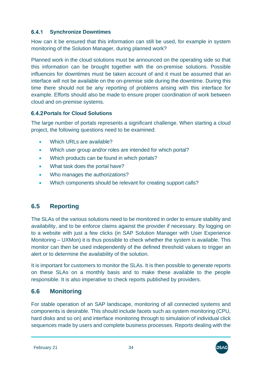#### <span id="page-33-0"></span> $6.4.1$ **Synchronize Downtimes**

How can it be ensured that this information can still be used, for example in system monitoring of the Solution Manager, during planned work?

Planned work in the cloud solutions must be announced on the operating side so that this information can be brought together with the on-premise solutions. Possible influences for downtimes must be taken account of and it must be assumed that an interface will not be available on the on-premise side during the downtime. During this time there should not be any reporting of problems arising with this interface for example. Efforts should also be made to ensure proper coordination of work between cloud and on-premise systems.

# <span id="page-33-1"></span>**6.4.2 Portals for Cloud Solutions**

The large number of portals represents a significant challenge. When starting a cloud project, the following questions need to be examined:

- $\bullet$  Which URLs are available?
- Which user group and/or roles are intended for which portal?
- Which products can be found in which portals?
- What task does the portal have?
- Who manages the authorizations?
- Which components should be relevant for creating support calls?

# <span id="page-33-2"></span>**6.5 Reporting**

The SLAs of the various solutions need to be monitored in order to ensure stability and availability, and to be enforce claims against the provider if necessary. By logging on to a website with just a few clicks (in SAP Solution Manager with User Experience Monitoring – UXMon) it is thus possible to check whether the system is available. This monitor can then be used independently of the defined threshold values to trigger an alert or to determine the availability of the solution.

It is important for customers to monitor the SLAs. It is then possible to generate reports on these SLAs on a monthly basis and to make these available to the people responsible. It is also imperative to check reports published by providers.

# <span id="page-33-3"></span>**6.6 Monitoring**

For stable operation of an SAP landscape, monitoring of all connected systems and components is desirable. This should include facets such as system monitoring (CPU, hard disks and so on) and interface monitoring through to simulation of individual click sequences made by users and complete business processes. Reports dealing with the

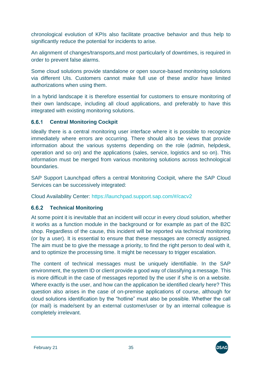chronological evolution of KPIs also facilitate proactive behavior and thus help to significantly reduce the potential for incidents to arise.

An alignment of changes/transports,and most particularly of downtimes, is required in order to prevent false alarms.

Some cloud solutions provide standalone or open source-based monitoring solutions via different UIs. Customers cannot make full use of these and/or have limited authorizations when using them.

In a hybrid landscape it is therefore essential for customers to ensure monitoring of their own landscape, including all cloud applications, and preferably to have this integrated with existing monitoring solutions.

#### <span id="page-34-0"></span> $6.6.1$ **Central Monitoring Cockpit**

Ideally there is a central monitoring user interface where it is possible to recognize immediately where errors are occurring. There should also be views that provide information about the various systems depending on the role (admin, helpdesk, operation and so on) and the applications (sales, service, logistics and so on). This information must be merged from various monitoring solutions across technological boundaries.

SAP Support Launchpad offers a central Monitoring Cockpit, where the SAP Cloud Services can be successively integrated:

Cloud Availability Center:<https://launchpad.support.sap.com/#/cacv2>

#### <span id="page-34-1"></span> $6.6.2$ **Technical Monitoring**

At some point it is inevitable that an incident will occur in every cloud solution, whether it works as a function module in the background or for example as part of the B2C shop. Regardless of the cause, this incident will be reported via technical monitoring (or by a user). It is essential to ensure that these messages are correctly assigned. The aim must be to give the message a priority, to find the right person to deal with it, and to optimize the processing time. It might be necessary to trigger escalation.

The content of technical messages must be uniquely identifiable. In the SAP environment, the system ID or client provide a good way of classifying a message. This is more difficult in the case of messages reported by the user if s/he is on a website. Where exactly is the user, and how can the application be identified clearly here? This question also arises in the case of on-premise applications of course, although for cloud solutions identification by the "hotline" must also be possible. Whether the call (or mail) is made/sent by an external customer/user or by an internal colleague is completely irrelevant.

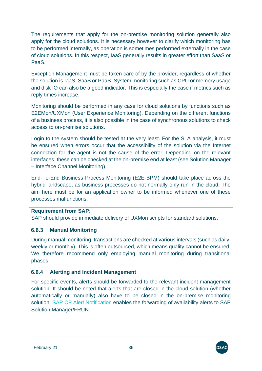The requirements that apply for the on-premise monitoring solution generally also apply for the cloud solutions. It is necessary however to clarify which monitoring has to be performed internally, as operation is sometimes performed externally in the case of cloud solutions. In this respect, IaaS generally results in greater effort than SaaS or PaaS.

Exception Management must be taken care of by the provider, regardless of whether the solution is IaaS, SaaS or PaaS. System monitoring such as CPU or memory usage and disk IO can also be a good indicator. This is especially the case if metrics such as reply times increase.

Monitoring should be performed in any case for cloud solutions by functions such as E2EMon/UXMon (User Experience Monitoring). Depending on the different functions of a business process, it is also possible in the case of synchronous solutions to check access to on-premise solutions.

Login to the system should be tested at the very least. For the SLA analysis, it must be ensured when errors occur that the accessibility of the solution via the Internet connection for the agent is not the cause of the error. Depending on the relevant interfaces, these can be checked at the on-premise end at least (see Solution Manager – Interface Channel Monitoring).

End-To-End Business Process Monitoring (E2E-BPM) should take place across the hybrid landscape, as business processes do not normally only run in the cloud. The aim here must be for an application owner to be informed whenever one of these processes malfunctions.

### **Requirement from SAP**:

SAP should provide immediate delivery of UXMon scripts for standard solutions.

#### <span id="page-35-0"></span> $6.6.3$ **Manual Monitoring**

During manual monitoring, transactions are checked at various intervals (such as daily, weekly or monthly). This is often outsourced, which means quality cannot be ensured. We therefore recommend only employing manual monitoring during transitional phases.

#### <span id="page-35-1"></span> $6.6.4$ **Alerting and Incident Management**

For specific events, alerts should be forwarded to the relevant incident management solution. It should be noted that alerts that are closed in the cloud solution (whether automatically or manually) also have to be closed in the on-premise monitoring solution. [SAP CP Alert Notification](https://deref-gmx.net/mail/client/6vw3S16SzIc/dereferrer/?redirectUrl=https://help.sap.com/viewer/p/ALERT_NOTIFICATION) enables the forwarding of availability alerts to SAP Solution Manager/FRUN.

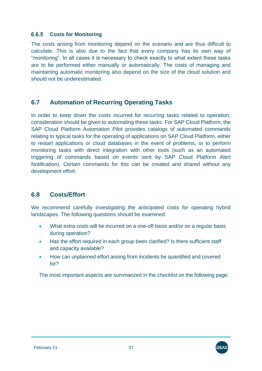#### $6.6.5$ **Costs for Monitoring**

The costs arising from monitoring depend on the scenario and are thus difficult to calculate. This is also due to the fact that every company has its own way of "monitoring". In all cases it is necessary to check exactly to what extent these tasks are to be performed either manually or automatically. The costs of managing and maintaining automatic monitoring also depend on the size of the cloud solution and should not be underestimated.

## **6.7 Automation of Recurring Operating Tasks**

In order to keep down the costs incurred for recurring tasks related to operation, consideration should be given to automating these tasks. For SAP Cloud Platform, the SAP Cloud Platform Automation Pilot provides catalogs of automated commands relating to typical tasks for the operating of applications on SAP Cloud Platform, either to restart applications or cloud databases in the event of problems, or to perform monitoring tasks with direct integration with other tools (such as an automated triggering of commands based on events sent by SAP Cloud Platform Alert Notification). Certain commands for this can be created and shared without any development effort.

## **6.8 Costs/Effort**

We recommend carefully investigating the anticipated costs for operating hybrid landscapes. The following questions should be examined:

- What extra costs will be incurred on a one-off basis and/or on a regular basis during operation?
- Has the effort required in each group been clarified? Is there sufficient staff and capacity available?
- How can unplanned effort arising from incidents be quantified and covered for?

The most important aspects are summarized in the *checklist* on the following page.

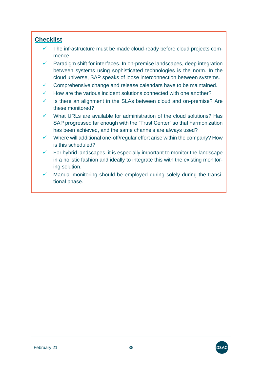### **Checklist**

- ✓ The infrastructure must be made cloud-ready before cloud projects commence.
- $\checkmark$  Paradigm shift for interfaces. In on-premise landscapes, deep integration between systems using sophisticated technologies is the norm. In the cloud universe, SAP speaks of loose interconnection between systems.
- $\checkmark$  Comprehensive change and release calendars have to be maintained.
- $\checkmark$  How are the various incident solutions connected with one another?
- $\checkmark$  Is there an alignment in the SLAs between cloud and on-premise? Are these monitored?
- What URLs are available for administration of the cloud solutions? Has SAP progressed far enough with the "Trust Center" so that harmonization has been achieved, and the same channels are always used?
- $\checkmark$  Where will additional one-off/regular effort arise within the company? How is this scheduled?
- $\checkmark$  For hybrid landscapes, it is especially important to monitor the landscape in a holistic fashion and ideally to integrate this with the existing monitoring solution.
- Manual monitoring should be employed during solely during the transitional phase.

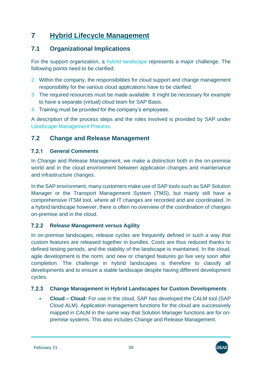# **7 Hybrid Lifecycle Management**

# **7.1 Organizational Implications**

For the support organization, a [hybrid landscape](https://support.sap.com/en/tools/software-logistics-tools/landscape-management-process.html#panel-section-accordion-accordionitem-body) represents a major challenge. The following points need to be clarified:

- 2. Within the company, the responsibilities for cloud support and change management responsibility for the various cloud applications have to be clarified.
- 3. The required resources must be made available. It might be necessary for example to have a separate (virtual) cloud team for SAP Basis.
- 4. Training must be provided for the company's employees.

A description of the process steps and the roles involved is provided by SAP under [Landscape Management Process.](http://sap.com/landscape-management-process)

### **7.2 Change and Release Management**

#### $7.2.1$ **General Comments**

In Change and Release Management, we make a distinction both in the on-premise world and in the cloud environment between application changes and maintenance and infrastructure changes.

In the SAP environment, many customers make use of SAP tools such as SAP Solution Manager or the Transport Management System (TMS), but mainly still have a comprehensive ITSM tool, where all IT changes are recorded and are coordinated. In a hybrid landscape however, there is often no overview of the coordination of changes on-premise and in the cloud.

#### **Release Management versus Agility**  $7.2.2$

In on-premise landscapes, release cycles are frequently defined in such a way that custom features are released together in bundles. Costs are thus reduced thanks to defined testing periods, and the stability of the landscape is maintained. In the cloud, agile development is the norm, and new or changed features go live very soon after completion. The challenge in hybrid landscapes is therefore to classify all developments and to ensure a stable landscape despite having different development cycles.

#### $7.2.3$ **Change Management in Hybrid Landscapes for Custom Developments**

• **Cloud – Cloud:** For use in the cloud, SAP has developed the CALM tool [\(SAP](https://support.sap.com/en/alm/sap-cloud-alm.html)  [Cloud ALM\)](https://support.sap.com/en/alm/sap-cloud-alm.html). Application management functions for the cloud are successively mapped in CALM in the same way that Solution Manager functions are for onpremise systems. This also includes Change and Release Management.

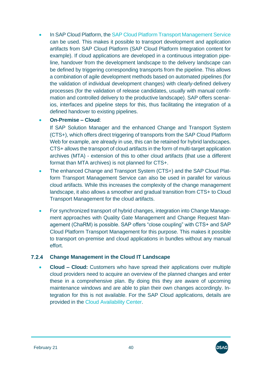• In SAP Cloud Platform, the [SAP Cloud Platform Transport Management Service](https://deref-gmx.net/mail/client/583dqG_FN8E/dereferrer/?redirectUrl=https://help.sap.com/viewer/p/TRANSPORT_MANAGEMENT_SERVICE) can be used. This makes it possible to transport development and application artifacts from SAP Cloud Platform (SAP Cloud Platform Integration content for example). If cloud applications are developed in a continuous integration pipeline, handover from the development landscape to the delivery landscape can be defined by triggering corresponding transports from the pipeline. This allows a combination of agile development methods based on automated pipelines (for the validation of individual development changes) with clearly-defined delivery processes (for the validation of release candidates, usually with manual confirmation and controlled delivery to the productive landscape). SAP offers scenarios, interfaces and pipeline steps for this, thus facilitating the integration of a defined handover to existing pipelines.

#### • **On-Premise – Cloud**:

If SAP Solution Manager and [the enhanced Change and Transport System](https://support.sap.com/en/tools/software-logistics-tools/landscape-management-process.html#panel-section-accordion-accordionitem_1003109952-body)  [\(CTS+\)](https://support.sap.com/en/tools/software-logistics-tools/landscape-management-process.html#panel-section-accordion-accordionitem_1003109952-body), which offers direct triggering of transports from the SAP Cloud Platform Web for example, are already in use, this can be retained for hybrid landscapes. CTS+ allows the transport of cloud artifacts in the form of multi-target application archives (MTA) - extension of this to other cloud artifacts (that use a different format than MTA archives) is not planned for CTS+.

- The enhanced Change and Transport System (CTS+) and the SAP Cloud Platform Transport Management Service can also be used in parallel for various cloud artifacts. While this increases the complexity of the change management landscape, it also allows a smoother and gradual transition from CTS+ to Cloud Transport Management for the cloud artifacts.
- For synchronized transport of hybrid changes, integration into Change Management approaches with Quality Gate Management and Change Request Management (ChaRM) is possible. SAP offers "close coupling" with CTS+ and SAP Cloud Platform Transport Management for this purpose. This makes it possible to transport on-premise and cloud applications in bundles without any manual effort.

#### $7.2.4$ **Change Management in the Cloud IT Landscape**

• **Cloud – Cloud:** Customers who have spread their applications over multiple cloud providers need to acquire an overview of the planned changes and enter these in a comprehensive plan. By doing this they are aware of upcoming maintenance windows and are able to plan their own changes accordingly. Integration for this is not available. For the SAP Cloud applications, details are provided in the [Cloud Availability Center.](https://support.sap.com/en/my-support/systems-installations/cloud-systems-installations.html#section_371600434)

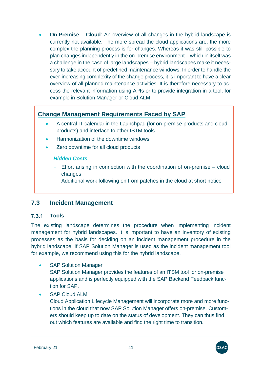• **On-Premise – Cloud**: An overview of all changes in the hybrid landscape is currently not available. The more spread the cloud applications are, the more complex the planning process is for changes. Whereas it was still possible to plan changes independently in the on-premise environment – which in itself was a challenge in the case of large landscapes – hybrid landscapes make it necessary to take account of predefined maintenance windows. In order to handle the ever-increasing complexity of the change process, it is important to have a clear overview of all planned maintenance activities. It is therefore necessary to access the relevant information using APIs or to provide integration in a tool, for example in Solution Manager or Cloud ALM.

# **Change Management Requirements Faced by SAP**

- A central IT calendar in the Launchpad (for on-premise products and cloud products) and interface to other ISTM tools
- Harmonization of the downtime windows
- Zero downtime for all cloud products

#### *Hidden Costs*

- Effort arising in connection with the coordination of on-premise cloud changes
- Additional work following on from patches in the cloud at short notice

## **7.3 Incident Management**

#### 731 **Tools**

The existing landscape determines the procedure when implementing incident management for hybrid landscapes. It is important to have an inventory of existing processes as the basis for deciding on an incident management procedure in the hybrid landscape. If SAP Solution Manager is used as the incident management tool for example, we recommend using this for the hybrid landscape.

**SAP Solution Manager** 

SAP Solution Manager provides the features of an ITSM tool for on-premise applications and is perfectly equipped with the SAP Backend Feedback function for SAP.

• SAP Cloud ALM

Cloud Application Lifecycle Management will incorporate more and more functions in the cloud that now SAP Solution Manager offers on-premise. Customers should keep up to date on the status of development. They can thus find out which features are available and find the right time to transition.

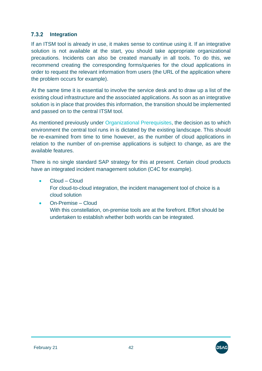### **7.3.2** Integration

If an ITSM tool is already in use, it makes sense to continue using it. If an integrative solution is not available at the start, you should take appropriate organizational precautions. Incidents can also be created manually in all tools. To do this, we recommend creating the corresponding forms/queries for the cloud applications in order to request the relevant information from users (the URL of the application where the problem occurs for example).

At the same time it is essential to involve the service desk and to draw up a list of the existing cloud infrastructure and the associated applications. As soon as an integrative solution is in place that provides this information, the transition should be implemented and passed on to the central ITSM tool.

As mentioned previously under [Organizational Prerequisites,](#page-29-0) the decision as to which environment the central tool runs in is dictated by the existing landscape. This should be re-examined from time to time however, as the number of cloud applications in relation to the number of on-premise applications is subject to change, as are the available features.

There is no single standard SAP strategy for this at present. Certain cloud products have an integrated incident management solution (C4C for example).

- Cloud Cloud For cloud-to-cloud integration, the incident management tool of choice is a cloud solution
- On-Premise Cloud With this constellation, on-premise tools are at the forefront. Effort should be undertaken to establish whether both worlds can be integrated.

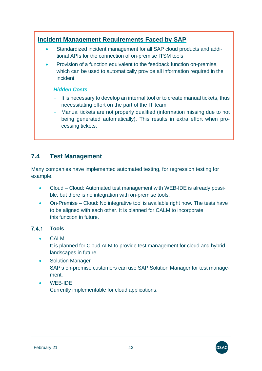# **Incident Management Requirements Faced by SAP**

- Standardized incident management for all SAP cloud products and additional APIs for the connection of on-premise ITSM tools
- Provision of a function equivalent to the feedback function on-premise, which can be used to automatically provide all information required in the incident.

#### *Hidden Costs*

- It is necessary to develop an internal tool or to create manual tickets, thus necessitating effort on the part of the IT team
- Manual tickets are not properly qualified (information missing due to not being generated automatically). This results in extra effort when processing tickets.

# **7.4 Test Management**

Many companies have implemented automated testing, for regression testing for example.

- Cloud Cloud: Automated test management with WEB-IDE is already possible, but there is no integration with on-premise tools.
- On-Premise Cloud: No integrative tool is available right now. The tests have to be aligned with each other. It is planned for CALM to incorporate this function in future.

#### $7.4.1$ **Tools**

- CALM It is planned for Cloud ALM to provide test management for cloud and hybrid landscapes in future.
- Solution Manager SAP's on-premise customers can use SAP Solution Manager for test management.
- WEB-IDE Currently implementable for cloud applications.



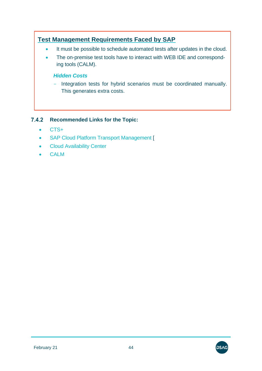# **Test Management Requirements Faced by SAP**

- It must be possible to schedule automated tests after updates in the cloud.
- The on-premise test tools have to interact with WEB IDE and corresponding tools (CALM).

### *Hidden Costs*

- Integration tests for hybrid scenarios must be coordinated manually. This generates extra costs.

#### **Recommended Links for the Topic:**  $7.4.2$

- [CTS+](https://help.sap.com/viewer/65de2977205c403bbc107264b8eccf4b/Cloud/en-US/f598f69a9be347029b7e5e7205fc7d1f.html)
- [SAP Cloud Platform Transport Management](https://help.sap.com/viewer/p/TRANSPORT_MANAGEMENT_SERVICE) [
- [Cloud Availability Center](file:///C:/Users/Diane.Keller/Desktop/Leitfaden%20Hybrider%20Betrieb/20190828/%20https/support.sap.com/en/my-support/systems-installations/cloud-systems-installations.html)
- [CALM](https://support.sap.com/en/alm/sap-cloud-alm.html)

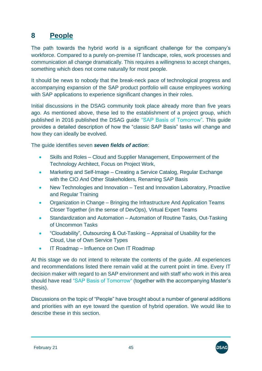# **8 People**

The path towards the hybrid world is a significant challenge for the company's workforce. Compared to a purely on-premise IT landscape, roles, work processes and communication all change dramatically. This requires a willingness to accept changes, something which does not come naturally for most people.

It should be news to nobody that the break-neck pace of technological progress and accompanying expansion of the SAP product portfolio will cause employees working with SAP applications to experience significant changes in their roles.

Initial discussions in the DSAG community took place already more than five years ago. As mentioned above, these led to the establishment of a project group, which published in 2016 published the DSAG guide ["SAP Basis of Tomorrow".](http://www.dsag.de/sites/default/files/2020-10/20160726_dsag_handlungsempfehlung_sap-basis_von_morgen_1.pdf) This guide provides a detailed description of how the "classic SAP Basis" tasks will change and how they can ideally be evolved.

The guide identifies seven *seven fields of action*:

- Skills and Roles Cloud and Supplier Management, Empowerment of the Technology Architect, Focus on Project Work,
- Marketing and Self-Image Creating a Service Catalog, Regular Exchange with the CIO And Other Stakeholders, Renaming SAP Basis
- New Technologies and Innovation Test and Innovation Laboratory, Proactive and Regular Training
- Organization in Change Bringing the Infrastructure And Application Teams Closer Together (in the sense of DevOps), Virtual Expert Teams
- Standardization and Automation Automation of Routine Tasks, Out-Tasking of Uncommon Tasks
- "Cloudability", Outsourcing & Out-Tasking Appraisal of Usability for the Cloud, Use of Own Service Types
- IT Roadmap Influence on Own IT Roadmap

At this stage we do not intend to reiterate the contents of the guide. All experiences and recommendations listed there remain valid at the current point in time. Every IT decision maker with regard to an SAP environment and with staff who work in this area should have read ["SAP Basis of Tomorrow"](http://www.dsag.de/sites/default/files/2020-10/20160726_dsag_handlungsempfehlung_sap-basis_von_morgen_1.pdf) (together with the accompanying Master's thesis).

Discussions on the topic of "People" have brought about a number of general additions and priorities with an eye toward the question of hybrid operation. We would like to describe these in this section.

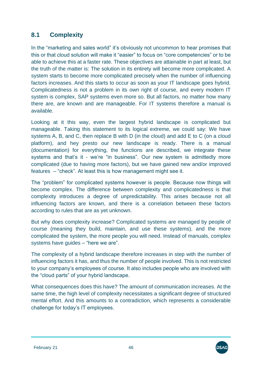# **8.1 Complexity**

In the "marketing and sales world" it's obviously not uncommon to hear promises that this or that cloud solution will make it "easier" to focus on "core competencies" or to be able to achieve this at a faster rate. These objectives are attainable in part at least, but the truth of the matter is: The solution in its entirety will become more complicated. A system starts to become more complicated precisely when the number of influencing factors increases. And this starts to occur as soon as your IT landscape goes hybrid. Complicatedness is not a problem in its own right of course, and every modern IT system is complex, SAP systems even more so. But all factors, no matter how many there are, are known and are manageable. For IT systems therefore a manual is available.

Looking at it this way, even the largest hybrid landscape is complicated but manageable. Taking this statement to its logical extreme, we could say: We have systems A, B, and C, then replace B with D (in the cloud) and add E to C (on a cloud platform), and hey presto our new landscape is ready. There is a manual (documentation) for everything, the functions are described, we integrate these systems and that's it - we're "in business". Our new system is admittedly more complicated (due to having more factors), but we have gained new and/or improved features – "check". At least this is how management might see it.

The "problem" for complicated systems however is people. Because now things will become complex. The difference between complexity and complicatedness is that complexity introduces a degree of unpredictability. This arises because not all influencing factors are known, and there is a correlation between these factors according to rules that are as yet unknown.

But why does complexity increase? Complicated systems are managed by people of course (meaning they build, maintain, and use these systems), and the more complicated the system, the more people you will need. Instead of manuals, complex systems have guides – "here we are".

The complexity of a hybrid landscape therefore increases in step with the number of influencing factors it has, and thus the number of people involved. This is not restricted to your company's employees of course. It also includes people who are involved with the "cloud parts" of your hybrid landscape.

What consequences does this have? The amount of communication increases. At the same time, the high level of complexity necessitates a significant degree of structured mental effort. And this amounts to a contradiction, which represents a considerable challenge for today's IT employees.

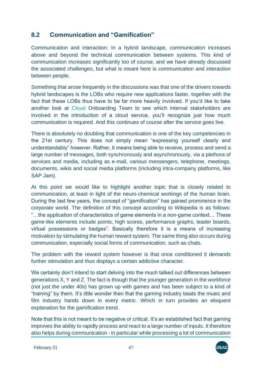# **8.2 Communication and "Gamification"**

Communication and interaction: In a hybrid landscape, communication increases above and beyond the technical communication between systems. This kind of communication increases significantly too of course, and we have already discussed the associated challenges, but what is meant here is communication and interaction between people.

Something that arose frequently in the discussions was that one of the drivers towards hybrid landscapes is the LOBs who require new applications faster, together with the fact that these LOBs thus have to be far more heavily involved. If you'd like to take another look at Cloud [Onboarding Team](#page-8-0) to see which internal stakeholders are involved in the introduction of a cloud service, you'll recognize just how much communication is required. And this continues of course after the service goes live.

There is absolutely no doubting that communication is one of the key competencies in the 21st century. This does not simply mean "expressing yourself clearly and understandably" however. Rather, it means being able to receive, process and send a large number of messages, both synchronously and asynchronously, via a plethora of services and media, including as e-mail, various messengers, telephone, meetings, documents, wikis and social media platforms (including intra-company platforms, like SAP Jam).

At this point we would like to highlight another topic that is closely related to communication, at least in light of the neuro-chemical workings of the human brain. During the last few years, the concept of "gamification" has gained prominence in the corporate world. The definition of this concept according to Wikipedia is as follows: "…the application of characteristics of game elements in a non-game context… These game-like elements include points, high scores, performance graphs, leader boards, virtual possessions or badges". Basically therefore it is a means of increasing motivation by stimulating the human reward system. The same thing also occurs during communication, especially social forms of communication, such as chats.

The problem with the reward system however is that once conditioned it demands further stimulation and thus displays a certain addictive character.

We certainly don't intend to start delving into the much talked out differences between generations X, Y and Z. The fact is though that the younger generation in the workforce (not just the under 40s) has grown up with games and has been subject to a kind of "training" by them. It's little wonder then that the gaming industry beats the music and film industry hands down in every metric. Which in turn provides an eloquent explanation for the gamification trend.

Note that this is not meant to be negative or critical. It's an established fact that gaming improves the ability to rapidly process and react to a large number of inputs. It therefore also helps during communication - in particular while processing a lot of communication

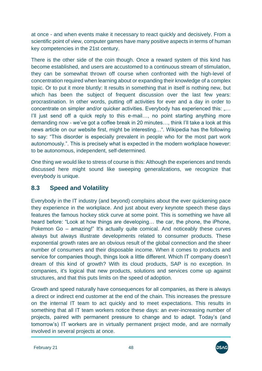at once - and when events make it necessary to react quickly and decisively. From a scientific point of view, computer games have many positive aspects in terms of human key competencies in the 21st century.

There is the other side of the coin though. Once a reward system of this kind has become established, and users are accustomed to a continuous stream of stimulation, they can be somewhat thrown off course when confronted with the high-level of concentration required when learning about or expanding their knowledge of a complex topic. Or to put it more bluntly: It results in something that in itself is nothing new, but which has been the subject of frequent discussion over the last few vears: procrastination. In other words, putting off activities for ever and a day in order to concentrate on simpler and/or quicker activities. Everybody has experienced this: "... I'll just send off a quick reply to this e-mail..., no point starting anything more demanding now - we've got a coffee break in 20 minutes…, think I'll take a look at this news article on our website first, might be interesting…". Wikipedia has the following to say: "This disorder is especially prevalent in people who for the most part work autonomously.". This is precisely what is expected in the modern workplace however: to be autonomous, independent, self-determined.

One thing we would like to stress of course is this: Although the experiences and trends discussed here might sound like sweeping generalizations, we recognize that everybody is unique.

# **8.3 Speed and Volatility**

Everybody in the IT industry (and beyond) complains about the ever quickening pace they experience in the workplace. And just about every keynote speech these days features the famous hockey stick curve at some point. This is something we have all heard before: "Look at how things are developing… the car, the phone, the iPhone, Pokemon Go – amazing!" It's actually quite comical. And noticeably these curves always but always illustrate developments related to consumer products. These exponential growth rates are an obvious result of the global connection and the sheer number of consumers and their disposable income. When it comes to products and service for companies though, things look a little different. Which IT company doesn't dream of this kind of growth? With its cloud products, SAP is no exception. In companies, it's logical that new products, solutions and services come up against structures, and that this puts limits on the speed of adoption.

Growth and speed naturally have consequences for all companies, as there is always a direct or indirect end customer at the end of the chain. This increases the pressure on the internal IT team to act quickly and to meet expectations. This results in something that all IT team workers notice these days: an ever-increasing number of projects, paired with permanent pressure to change and to adapt. Today's (and tomorrow's) IT workers are in virtually permanent project mode, and are normally involved in several projects at once.

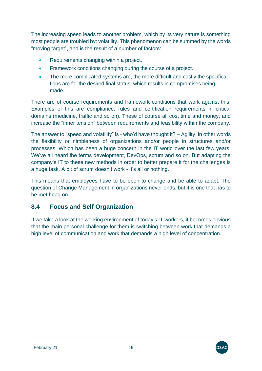The increasing speed leads to another problem, which by its very nature is something most people are troubled by: volatility. This phenomenon can be summed by the words "moving target", and is the result of a number of factors:

- Requirements changing within a project.
- Framework conditions changing during the course of a project.
- The more complicated systems are, the more difficult and costly the specifications are for the desired final status, which results in compromises being made.

There are of course requirements and framework conditions that work against this. Examples of this are compliance, rules and certification requirements in critical domains (medicine, traffic and so on). These of course all cost time and money, and increase the "inner tension" between requirements and feasibility within the company.

The answer to "speed and volatility" is - who'd have thought it? – Agility, in other words the flexibility or nimbleness of organizations and/or people in structures and/or processes. Which has been a huge concern in the IT world over the last few years. We've all heard the terms development, DevOps, scrum and so on. But adapting the company's IT to these new methods in order to better prepare it for the challenges is a huge task. A bit of scrum doesn't work - it's all or nothing.

This means that employees have to be open to change and be able to adapt. The question of Change Management in organizations never ends, but it is one that has to be met head on.

## **8.4 Focus and Self Organization**

If we take a look at the working environment of today's IT workers, it becomes obvious that the main personal challenge for them is switching between work that demands a high level of communication and work that demands a high level of concentration.

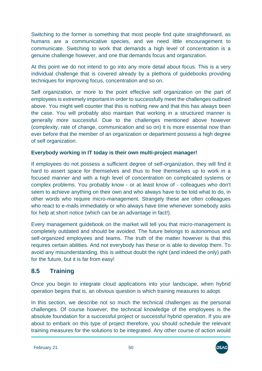Switching to the former is something that most people find quite straightforward, as humans are a communicative species, and we need little encouragement to communicate. Switching to work that demands a high level of concentration is a genuine challenge however, and one that demands focus and organization.

At this point we do not intend to go into any more detail about focus. This is a very individual challenge that is covered already by a plethora of guidebooks providing techniques for improving focus, concentration and so on.

Self organization, or more to the point effective self organization on the part of employees is extremely important in order to successfully meet the challenges outlined above. You might well counter that this is nothing new and that this has always been the case. You will probably also maintain that working in a structured manner is generally more successful. Due to the challenges mentioned above however (complexity, rate of change, communication and so on) it is more essential now than ever before that the member of an organization or department possess a high degree of self organization.

### **Everybody working in IT today is their own multi-project manager!**

If employees do not possess a sufficient degree of self-organization, they will find it hard to assert space for themselves and thus to free themselves up to work in a focused manner and with a high level of concentration on complicated systems or complex problems. You probably know - or at least know of - colleagues who don't seem to achieve anything on their own and who always have to be told what to do, in other words who require micro-management. Strangely these are often colleagues who react to e-mails immediately or who always have time whenever somebody asks for help at short notice (which can be an advantage in fact!).

Every management guidebook on the market will tell you that micro-management is completely outdated and should be avoided. The future belongs to autonomous and self-organized employees and teams. The truth of the matter however is that this requires certain abilities. And not everybody has these or is able to develop them. To avoid any misunderstanding, this is without doubt the right (and indeed the only) path for the future, but it is far from easy!

# **8.5 Training**

Once you begin to integrate cloud applications into your landscape, when hybrid operation begins that is, an obvious question is which training measures to adopt.

In this section, we describe not so much the technical challenges as the personal challenges. Of course however, the technical knowledge of the employees is the absolute foundation for a successful project or successful hybrid operation. If you are about to embark on this type of project therefore, you should schedule the relevant training measures for the solutions to be integrated. Any other course of action would

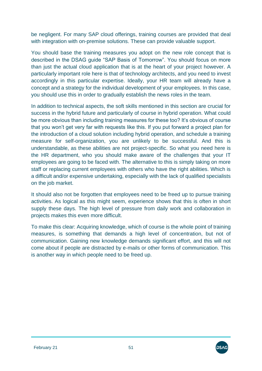be negligent. For many SAP cloud offerings, training courses are provided that deal with integration with on-premise solutions. These can provide valuable support.

You should base the training measures you adopt on the new role concept that is described in the DSAG guide "SAP Basis of Tomorrow". You should focus on more than just the actual cloud application that is at the heart of your project however. A particularly important role here is that of technology architects, and you need to invest accordingly in this particular expertise. Ideally, your HR team will already have a concept and a strategy for the individual development of your employees. In this case, you should use this in order to gradually establish the news roles in the team.

In addition to technical aspects, the soft skills mentioned in this section are crucial for success in the hybrid future and particularly of course in hybrid operation. What could be more obvious than including training measures for these too? It's obvious of course that you won't get very far with requests like this. If you put forward a project plan for the introduction of a cloud solution including hybrid operation, and schedule a training measure for self-organization, you are unlikely to be successful. And this is understandable, as these abilities are not project-specific. So what you need here is the HR department, who you should make aware of the challenges that your IT employees are going to be faced with. The alternative to this is simply taking on more staff or replacing current employees with others who have the right abilities. Which is a difficult and/or expensive undertaking, especially with the lack of qualified specialists on the job market.

It should also not be forgotten that employees need to be freed up to pursue training activities. As logical as this might seem, experience shows that this is often in short supply these days. The high level of pressure from daily work and collaboration in projects makes this even more difficult.

To make this clear: Acquiring knowledge, which of course is the whole point of training measures, is something that demands a high level of concentration, but not of communication. Gaining new knowledge demands significant effort, and this will not come about if people are distracted by e-mails or other forms of communication. This is another way in which people need to be freed up.

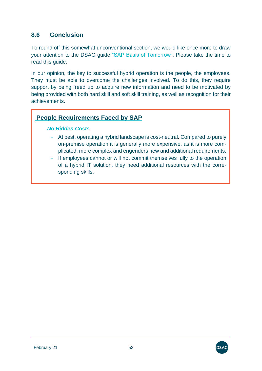# **8.6 Conclusion**

To round off this somewhat unconventional section, we would like once more to draw your attention to the DSAG guide ["SAP Basis of Tomorrow".](http://www.dsag.de/sites/default/files/2020-10/20160726_dsag_handlungsempfehlung_sap-basis_von_morgen_1.pdf) Please take the time to read this guide.

In our opinion, the key to successful hybrid operation is the people, the employees. They must be able to overcome the challenges involved. To do this, they require support by being freed up to acquire new information and need to be motivated by being provided with both hard skill and soft skill training, as well as recognition for their achievements.

## **People Requirements Faced by SAP**

#### *No Hidden Costs*

- At best, operating a hybrid landscape is cost-neutral. Compared to purely on-premise operation it is generally more expensive, as it is more complicated, more complex and engenders new and additional requirements.
- If employees cannot or will not commit themselves fully to the operation of a hybrid IT solution, they need additional resources with the corresponding skills.

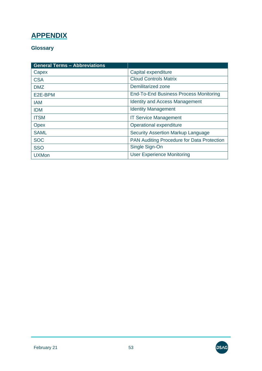# **APPENDIX**

### **Glossary**

| <b>General Terms - Abbreviations</b> |                                                   |
|--------------------------------------|---------------------------------------------------|
| Capex                                | Capital expenditure                               |
| <b>CSA</b>                           | <b>Cloud Controls Matrix</b>                      |
| <b>DMZ</b>                           | Demilitarized zone                                |
| E2E-BPM                              | <b>End-To-End Business Process Monitoring</b>     |
| <b>IAM</b>                           | <b>Identity and Access Management</b>             |
| <b>IDM</b>                           | <b>Identity Management</b>                        |
| <b>ITSM</b>                          | <b>IT Service Management</b>                      |
| <b>Opex</b>                          | Operational expenditure                           |
| <b>SAML</b>                          | <b>Security Assertion Markup Language</b>         |
| <b>SOC</b>                           | <b>PAN Auditing Procedure for Data Protection</b> |
| <b>SSO</b>                           | Single Sign-On                                    |
| <b>UXMon</b>                         | <b>User Experience Monitoring</b>                 |

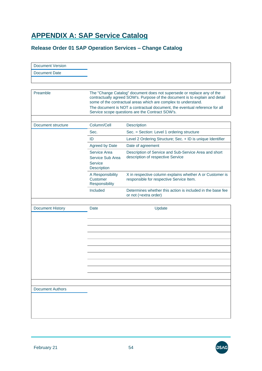# **APPENDIX A: SAP Service Catalog**

### **Release Order 01 SAP Operation Services – Change Catalog**

| <b>Document Version</b> |                                                                   |                                                                                                                                                                                                                          |
|-------------------------|-------------------------------------------------------------------|--------------------------------------------------------------------------------------------------------------------------------------------------------------------------------------------------------------------------|
| <b>Document Date</b>    |                                                                   |                                                                                                                                                                                                                          |
|                         |                                                                   |                                                                                                                                                                                                                          |
|                         |                                                                   |                                                                                                                                                                                                                          |
| Preamble                |                                                                   | The "Change Catalog" document does not supersede or replace any of the<br>contractually agreed SOW's. Purpose of the document is to explain and detail<br>some of the contractual areas which are complex to understand. |
|                         |                                                                   | The document is NOT a contractual document, the eventual reference for all<br>Service scope questions are the Contract SOW's.                                                                                            |
| Document structure      | Column/Cell                                                       | Description                                                                                                                                                                                                              |
|                         | Sec.                                                              | Sec. = Section: Level 1 ordering structure                                                                                                                                                                               |
|                         | ID                                                                | Level 2 Ordering Structure; Sec. + ID is unique Identifier                                                                                                                                                               |
|                         | <b>Agreed by Date</b>                                             | Date of agreement                                                                                                                                                                                                        |
|                         | Service Area<br>Service Sub Area<br><b>Service</b><br>Description | Description of Service and Sub-Service Area and short<br>description of respective Service                                                                                                                               |
|                         | A Responsibility<br>Customer<br>Responsibility                    | X in respective column explains whether A or Customer is<br>responsible for respective Service Item.                                                                                                                     |
|                         | <b>Included</b>                                                   | Determines whether this action is included in the base fee<br>or not (=extra order)                                                                                                                                      |
| <b>Document History</b> | Date                                                              | Update                                                                                                                                                                                                                   |
|                         |                                                                   |                                                                                                                                                                                                                          |
|                         |                                                                   |                                                                                                                                                                                                                          |
|                         |                                                                   |                                                                                                                                                                                                                          |
|                         |                                                                   |                                                                                                                                                                                                                          |
|                         |                                                                   |                                                                                                                                                                                                                          |
|                         |                                                                   |                                                                                                                                                                                                                          |
| <b>Document Authors</b> |                                                                   |                                                                                                                                                                                                                          |
|                         |                                                                   |                                                                                                                                                                                                                          |
|                         |                                                                   |                                                                                                                                                                                                                          |

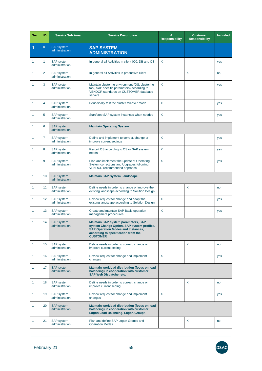| Sec. | ID             | <b>Service Sub Area</b>             | <b>Service Description</b>                                                                                                                                                               | A<br><b>Responsibility</b> | <b>Customer</b><br><b>Responsibility</b> | <b>Included</b> |
|------|----------------|-------------------------------------|------------------------------------------------------------------------------------------------------------------------------------------------------------------------------------------|----------------------------|------------------------------------------|-----------------|
| 1    | $\overline{0}$ | <b>SAP</b> system<br>administration | <b>SAP SYSTEM</b><br><b>ADMINISTRATION</b>                                                                                                                                               |                            |                                          |                 |
| 1    | 1              | <b>SAP</b> system<br>administration | In general all Activities in client 000, DB and OS                                                                                                                                       | X                          |                                          | yes             |
| 1    | 2              | <b>SAP</b> system<br>administration | In general all Activities in productive client                                                                                                                                           |                            | X                                        | no              |
| 1    | 3              | <b>SAP</b> system<br>administration | Maintain clustering environment (OS, clustering<br>tool, SAP specific parameters) according to<br><b>VENDOR standards on CUSTOMER database</b><br>servers                                | X                          |                                          | yes             |
| 1    | 4              | <b>SAP</b> system<br>administration | Periodically test the cluster fail-over mode                                                                                                                                             | X                          |                                          | yes             |
| 1    | 5              | <b>SAP</b> system<br>administration | Start/stop SAP system instances when needed                                                                                                                                              | X                          |                                          | yes             |
| 1    | 6              | <b>SAP system</b><br>administration | <b>Maintain Operating System</b>                                                                                                                                                         |                            |                                          |                 |
| 1    | 7              | <b>SAP</b> system<br>administration | Define and implement to correct, change or<br>improve current settings                                                                                                                   | X                          |                                          | yes             |
| 1    | 8              | <b>SAP</b> system<br>administration | Restart OS according to OS or SAP system<br>needs                                                                                                                                        | X                          |                                          | yes             |
| 1    | 9              | <b>SAP</b> system<br>administration | Plan and implement the update of Operating<br>System corrections and Upgrades following<br>VENDOR recommended approach                                                                   | X                          |                                          | yes             |
| 1    | 10             | <b>SAP</b> system<br>administration | <b>Maintain SAP System Landscape</b>                                                                                                                                                     |                            |                                          |                 |
| 1    | 11             | <b>SAP</b> system<br>administration | Define needs in order to change or improve the<br>existing landscape according to Solution Design                                                                                        |                            | X                                        | no              |
| 1    | 12             | SAP system<br>administration        | Review request for change and adapt the<br>existing landscape according to Solution Design                                                                                               | X                          |                                          | yes             |
| 1    | 13             | SAP system<br>administration        | Create and maintain SAP Basis operation<br>management procedures                                                                                                                         | X                          |                                          | yes             |
| 1    | 14             | <b>SAP system</b><br>administration | <b>Maintain SAP system parameters, SAP</b><br>system Change Option, SAP system profiles,<br>SAP Operation Modes and Instances,<br>according to specification from the<br><b>CUSTOMER</b> |                            |                                          |                 |
| 1    | 15             | <b>SAP</b> system<br>administration | Define needs in order to correct, change or<br>improve current setting                                                                                                                   |                            | X                                        | no              |
| 1    | 16             | <b>SAP system</b><br>administration | Review request for change and implement<br>changes                                                                                                                                       | X                          |                                          | yes             |
| 1    | 17             | SAP system<br>administration        | Maintain workload distribution (focus on load<br>balancing) in cooperation with customer;<br><b>SAP Web Dispatcher etc.</b>                                                              |                            |                                          |                 |
| 1    | 18             | <b>SAP system</b><br>administration | Define needs in order to correct, change or<br>improve current setting                                                                                                                   |                            | X                                        | no              |
| 1    | 19             | <b>SAP</b> system<br>administration | Review request for change and implement<br>changes                                                                                                                                       | X                          |                                          | yes             |
| 1    | 20             | <b>SAP system</b><br>administration | Maintain workload distribution (focus on load<br>balancing) in cooperation with customer;<br><b>Logon Load Balancing, Logon Groups</b>                                                   |                            |                                          |                 |
| 1    | 21             | <b>SAP system</b><br>administration | Plan and define SAP Logon Groups and<br><b>Operation Modes</b>                                                                                                                           |                            | X                                        | no              |

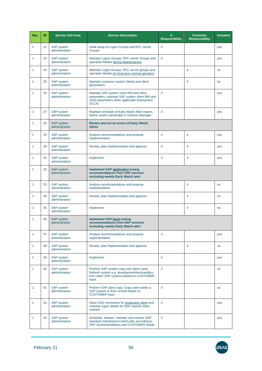| Sec. | ID | <b>Service Sub Area</b>             | <b>Service Description</b>                                                                                                                             | A<br><b>Responsibility</b> | <b>Customer</b><br><b>Responsibility</b> | <b>Included</b> |
|------|----|-------------------------------------|--------------------------------------------------------------------------------------------------------------------------------------------------------|----------------------------|------------------------------------------|-----------------|
| 1    | 22 | <b>SAP</b> system<br>administration | Initial setup of Logon Groups and RFC server<br>Groups                                                                                                 | X                          |                                          | yes             |
| 1    | 23 | <b>SAP</b> system<br>administration | Maintain Logon Groups, RFC server Groups and<br>operation Modes during Maintenances                                                                    | X                          |                                          | yes             |
| 1    | 24 | <b>SAP</b> system<br>administration | Maintain Logon Groups, RFC server groups and<br>operation Modes for long term normal operation                                                         |                            | X                                        | no              |
| 1    | 25 | <b>SAP</b> system<br>administration | Maintain customer system clients and client<br>parameters                                                                                              |                            | X                                        | no              |
| 1    | 26 | <b>SAP</b> system<br>administration | Maintain SAP system client 000 and client<br>parameters, maintain SAP system client 066 and<br>client parameters when applicable (transaction<br>SCC4) | X                          |                                          | yes             |
| 1    | 27 | <b>SAP</b> system<br>administration | Maintain schedule of Early Watch Alert reports,<br>define system landscape in Solution Manager                                                         | X                          |                                          | yes             |
| 1    | 28 | <b>SAP</b> system<br>administration | <b>Review and act on errors of Early Watch</b><br><b>Alerts</b>                                                                                        |                            |                                          |                 |
| 1    | 29 | <b>SAP</b> system<br>administration | Analyze recommendations and propose<br>implementation                                                                                                  | X                          | X                                        | yes             |
| 1    | 30 | <b>SAP</b> system<br>administration | Review, plan implementation and approve                                                                                                                | X                          | X                                        | yes             |
| 1    | 31 | <b>SAP</b> system<br>administration | Implement                                                                                                                                              | X                          | X                                        | yes             |
| 1    | 32 | <b>SAP</b> system<br>administration | <b>Implement SAP application tuning</b><br>recommendations from SAP services<br>excluding weekly Early Watch alert                                     |                            |                                          |                 |
| 1    | 33 | <b>SAP</b> system<br>administration | Analyze recommendations and propose<br>implementation                                                                                                  |                            | X                                        | no              |
| 1    | 34 | <b>SAP</b> system<br>administration | Review, plan implementation and approve                                                                                                                |                            | X                                        | no              |
| 1    | 35 | <b>SAP</b> system<br>administration | Implement                                                                                                                                              |                            | X                                        | no              |
| 1    | 36 | <b>SAP</b> system<br>administration | <b>Implement SAP basis tuning</b><br>recommendations from SAP services<br>excluding weekly Early Watch alert                                           |                            |                                          |                 |
| 1    | 37 | <b>SAP</b> system<br>administration | Analyze recommendations and propose<br>implementation                                                                                                  | X                          |                                          | yes             |
| 1    | 38 | <b>SAP</b> system<br>administration | Review, plan implementation and approve                                                                                                                |                            | X                                        | no              |
| 1    | 39 | <b>SAP</b> system<br>administration | Implement                                                                                                                                              | X                          |                                          | yes             |
| 1    | 40 | <b>SAP</b> system<br>administration | Perform SAP system copy (not client copy):<br>Refresh system e.g. development/test/sandbox<br>from other SAP systems based on CUSTOMER<br>input        | X                          |                                          | no              |
| 1    | 41 | <b>SAP</b> system<br>administration | Perform SAP client copy: Copy client within a<br>SAP system or from remote based on<br><b>CUSTOMER</b> input                                           | X                          |                                          | no              |
| 1    | 42 | <b>SAP</b> system<br>administration | Open OSS connection for production client and<br>maintain logon details for SAP experts when<br>needed                                                 | X                          |                                          | yes             |
| 1    | 43 | <b>SAP</b> system<br>administration | Schedule, release, maintain and monitor SAP<br>standard maintenance batch jobs according to<br>SAP recommendations and CUSTOMER needs                  | X                          |                                          | yes             |

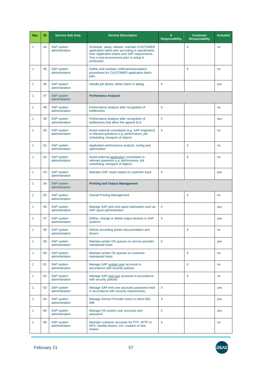| Sec.         | ID | <b>Service Sub Area</b>             | <b>Service Description</b>                                                                                                                                                                                   | A<br><b>Responsibility</b> | <b>Customer</b><br><b>Responsibility</b> | <b>Included</b> |
|--------------|----|-------------------------------------|--------------------------------------------------------------------------------------------------------------------------------------------------------------------------------------------------------------|----------------------------|------------------------------------------|-----------------|
| 1            | 44 | <b>SAP</b> system<br>administration | Schedule, setup, release, maintain CUSTOMER<br>application batch jobs according to specification<br>from Application teams and SAP requirements,<br>Test in test environment prior to setup in<br>production |                            | X                                        | no              |
| 1            | 45 | <b>SAP</b> system<br>administration | Define and maintain notification/escalation<br>procedures for CUSTOMER application batch<br>jobs.                                                                                                            |                            | X                                        | no              |
| 1            | 46 | SAP system<br>administration        | Handle job aborts, either batch or dialog                                                                                                                                                                    | $\sf X$                    |                                          | yes             |
| 1            | 47 | <b>SAP</b> system<br>administration | <b>Perfomance Analysis</b>                                                                                                                                                                                   |                            |                                          |                 |
| 1            | 48 | <b>SAP</b> system<br>administration | Performance analysis after recognition of<br>bottlenecks                                                                                                                                                     | $\sf X$                    |                                          | no              |
| 1            | 49 | <b>SAP</b> system<br>administration | Performance analysis after recognition of<br>bottlenecks that affect the agreed SLA                                                                                                                          | X                          |                                          | yes             |
| 1            | 50 | SAP system<br>administration        | Assist external consultants (e.g. SAP engineers)<br>in relevant questions e.g. performance, job<br>scheduling, transport of objects                                                                          | $\sf X$                    |                                          | no              |
| 1            | 51 | <b>SAP</b> system<br>administration | Application performance analysis, tuning and<br>optimization                                                                                                                                                 |                            | X                                        | no              |
| 1            | 52 | <b>SAP</b> system<br>administration | Assist external application consultants in<br>relevant questions e.g. performance, job<br>scheduling, transport of objects.                                                                                  |                            | X                                        | no              |
| 1            | 53 | <b>SAP</b> system<br>administration | Maintain SAP router based on customer input                                                                                                                                                                  | X                          |                                          | yes             |
| 1            | 54 | <b>SAP</b> system<br>administration | <b>Printing and Output Managament</b>                                                                                                                                                                        |                            |                                          |                 |
| 1            | 55 | <b>SAP</b> system<br>administration | <b>Overall Printing Management</b>                                                                                                                                                                           |                            | X                                        | no              |
| 1            | 56 | <b>SAP</b> system<br>administration | Manage SAP print and spool subsystem such as<br>SAP spool administration                                                                                                                                     | X                          |                                          | yes             |
| 1            | 57 | <b>SAP</b> system<br>administration | Define, change or delete output devices in SAP<br>systems                                                                                                                                                    | X                          |                                          | yes             |
| 1            | 58 | <b>SAP</b> system<br>administration | Deliver according printer documentation and<br>drivers                                                                                                                                                       |                            | X                                        | no              |
| $\mathbf{1}$ | 59 | SAP system<br>administration        | Maintain printer OS queues on service provider-<br>maintained hosts                                                                                                                                          | X                          |                                          | yes             |
| 1            | 60 | <b>SAP</b> system<br>administration | Maintain printer OS queues on customer-<br>maintained hosts                                                                                                                                                  |                            | X                                        | no              |
| 1            | 61 | <b>SAP</b> system<br>administration | Manage SAP system user accounts in<br>accordance with security policies                                                                                                                                      |                            | X                                        | no              |
| 1            | 62 | <b>SAP</b> system<br>administration | Manage SAP end user accounts in accordance<br>with security policies                                                                                                                                         |                            | X                                        | no              |
| 1            | 63 | <b>SAP</b> system<br>administration | Manage SAP end user accounts password reset<br>in accordance with security requirements.                                                                                                                     | X                          |                                          | yes             |
| 1            | 64 | <b>SAP</b> system<br>administration | Manage Service Provider Users in client 000,<br>066                                                                                                                                                          | X                          |                                          | yes             |
| 1            | 65 | <b>SAP</b> system<br>administration | Manage OS system user accounts and<br>password                                                                                                                                                               | X                          |                                          | yes             |
| 1            | 66 | <b>SAP</b> system<br>administration | Maintain customer accounts for FTP, SFTP or<br>NFS, Samba shares, incl. creation of new<br>shares                                                                                                            | $\boldsymbol{\mathsf{X}}$  |                                          | no              |

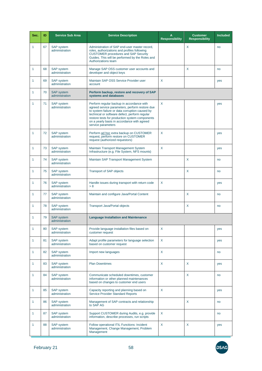| Sec.         | ID | <b>Service Sub Area</b>             | <b>Service Description</b>                                                                                                                                                                                                                                                                                            | A<br><b>Responsibility</b> | <b>Customer</b><br><b>Responsibility</b> | <b>Included</b> |
|--------------|----|-------------------------------------|-----------------------------------------------------------------------------------------------------------------------------------------------------------------------------------------------------------------------------------------------------------------------------------------------------------------------|----------------------------|------------------------------------------|-----------------|
| 1            | 67 | <b>SAP</b> system<br>administration | Administration of SAP end-user master record,<br>roles, authorizations and profiles following<br><b>CUSTOMER procedures and SAP Security</b><br>Guides. This will be performed by the Roles and<br>Authorizations team                                                                                                |                            | X                                        | no              |
| 1            | 68 | <b>SAP</b> system<br>administration | Manage SAP OSS customer user accounts and<br>developer and object keys                                                                                                                                                                                                                                                |                            | X                                        | no              |
| 1            | 69 | <b>SAP</b> system<br>administration | Maintain SAP OSS Service Provider user<br>account                                                                                                                                                                                                                                                                     | X                          |                                          | yes             |
| 1            | 70 | <b>SAP</b> system<br>administration | Perform backup, restore and recovery of SAP<br>systems and databases                                                                                                                                                                                                                                                  |                            |                                          |                 |
| 1            | 71 | SAP system<br>administration        | Perform regular backup in accordance with<br>agreed service parameters, perform restore due<br>to system failure or data corruption caused by<br>technical or software defect, perform regular<br>restore tests for production system components<br>on a yearly basis in accordance with agreed<br>service parameters | X                          |                                          | yes             |
| 1            | 72 | <b>SAP</b> system<br>administration | Perform ad hoc extra backup on CUSTOMER<br>request, perform restore on CUSTOMER<br>request (authorized requestors)                                                                                                                                                                                                    | X                          |                                          | yes             |
| 1            | 73 | <b>SAP</b> system<br>administration | Maintain Transport Management System<br>Infrastructure (e.g. File System, NFS mounts)                                                                                                                                                                                                                                 | X                          |                                          | yes             |
| 1            | 74 | <b>SAP</b> system<br>administration | Maintain SAP Transport Management System                                                                                                                                                                                                                                                                              |                            | X                                        | no              |
| 1            | 75 | <b>SAP</b> system<br>administration | <b>Transport of SAP objects</b>                                                                                                                                                                                                                                                                                       |                            | X                                        | no              |
| 1            | 76 | <b>SAP</b> system<br>administration | Handle issues during transport with return code<br>> 8                                                                                                                                                                                                                                                                | X                          |                                          | yes             |
| 1            | 77 | <b>SAP</b> system<br>administration | Maintain and configure Java/Portal Content                                                                                                                                                                                                                                                                            |                            | X                                        | no              |
| 1            | 78 | <b>SAP</b> system<br>administration | <b>Transport Java/Portal objects</b>                                                                                                                                                                                                                                                                                  |                            | X                                        | no              |
| 1            | 79 | <b>SAP</b> system<br>administration | <b>Language Installation and Maintenance</b>                                                                                                                                                                                                                                                                          |                            |                                          |                 |
|              | 80 | SAP system<br>administration        | Provide language installation files based on<br>customer request                                                                                                                                                                                                                                                      | Χ                          |                                          | yes             |
| $\mathbf{1}$ | 81 | <b>SAP</b> system<br>administration | Adapt profile parameters for language selection<br>based on customer request                                                                                                                                                                                                                                          | X                          |                                          | yes             |
| 1            | 82 | SAP system<br>administration        | Import new languages                                                                                                                                                                                                                                                                                                  | X                          |                                          | no              |
| 1            | 83 | <b>SAP</b> system<br>administration | <b>Plan Downtimes</b>                                                                                                                                                                                                                                                                                                 | X                          | X                                        | yes             |
| 1            | 84 | <b>SAP</b> system<br>administration | Communicate scheduled downtimes, customer<br>information or other planned maintenances<br>based on changes to customer end users                                                                                                                                                                                      |                            | X                                        | no              |
| 1            | 85 | <b>SAP</b> system<br>administration | Capacity reporting and planning based on<br><b>Service Provider Standard Reports</b>                                                                                                                                                                                                                                  | X                          |                                          | yes             |
| 1            | 86 | <b>SAP</b> system<br>administration | Management of SAP contracts and relationship<br>to SAP AG                                                                                                                                                                                                                                                             |                            | X                                        | no              |
| 1            | 87 | <b>SAP</b> system<br>administration | Support CUSTOMER during Audits, e.g. provide<br>information, describe processes, run scripts                                                                                                                                                                                                                          | X                          |                                          | no              |
| 1            | 88 | <b>SAP</b> system<br>administration | Follow operational ITIL Functions: Incident<br>Management, Change Management, Problem<br>Management                                                                                                                                                                                                                   | X                          | X                                        | yes             |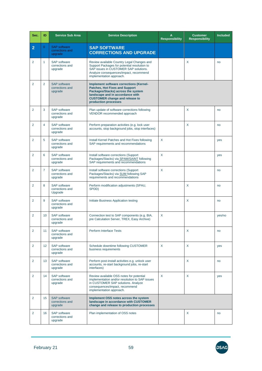| Sec.           | ID              | <b>Service Sub Area</b>                           | <b>Service Description</b>                                                                                                                                                                                                  | A<br><b>Responsibility</b> | <b>Customer</b><br><b>Responsibility</b> | <b>Included</b> |
|----------------|-----------------|---------------------------------------------------|-----------------------------------------------------------------------------------------------------------------------------------------------------------------------------------------------------------------------------|----------------------------|------------------------------------------|-----------------|
| $\overline{2}$ | $\overline{0}$  | <b>SAP</b> software<br>corrections and<br>upgrade | <b>SAP SOFTWARE</b><br><b>CORRECTIONS AND UPGRADE</b>                                                                                                                                                                       |                            |                                          |                 |
| $\overline{2}$ | 1               | <b>SAP</b> software<br>corrections and<br>upgrade | Review available Country Legal Changes and<br>Support Packages for potential resolution to<br>SAP issues in CUSTOMER SAP solutions.<br>Analyze consequences/impact, recommend<br>implementation approach.                   |                            | X                                        | no              |
| $\overline{2}$ | $\overline{2}$  | <b>SAP</b> software<br>corrections and<br>upgrade | Implement software corrections (Kernel-<br><b>Patches, Hot Fixes and Support</b><br>Packages/Stacks) across the system<br>landscape and in accordance with<br><b>CUSTOMER change and release to</b><br>production processes |                            |                                          |                 |
| $\overline{2}$ | 3               | <b>SAP</b> software<br>corrections and<br>upgrade | Plan update of software corrections following<br>VENDOR recommended approach                                                                                                                                                |                            | X                                        | no              |
| 2              | 4               | <b>SAP</b> software<br>corrections and<br>upgrade | Perform preparation activities (e.g. lock user<br>accounts, stop background jobs, stop interfaces)                                                                                                                          |                            | X                                        | no              |
| $\overline{2}$ | 5               | <b>SAP</b> software<br>corrections and<br>upgrade | Install Kernel Patches and Hot Fixes following<br>SAP requirements and recommendations                                                                                                                                      | X                          |                                          | yes             |
| 2              | 6               | <b>SAP</b> software<br>corrections and<br>upgrade | Install software corrections (Support<br>Packages/Stacks) via SPAM/SAINT following<br>SAP requirements and recommendations                                                                                                  | X                          |                                          | yes             |
| $\overline{2}$ | $\overline{7}$  | <b>SAP</b> software<br>corrections and<br>upgrade | Install software corrections (Support<br>Packages/Stacks) via SUM following SAP<br>requirements and recommendations                                                                                                         | X                          |                                          | no              |
| $\overline{2}$ | 8               | <b>SAP</b> software<br>corrections and<br>Upgrade | Perform modification adjustments (SPAU,<br>SPDD)                                                                                                                                                                            |                            | X                                        | no              |
| $\overline{2}$ | 9               | <b>SAP software</b><br>corrections and<br>upgrade | Initiate Business Application testing                                                                                                                                                                                       |                            | X                                        | no              |
| $\overline{2}$ | 10              | <b>SAP</b> software<br>corrections and<br>upgrade | Connection test to SAP components (e.g. BIA,<br>pre Calculation Server, TREX, Easy Archive)                                                                                                                                 | X                          |                                          | yes/no          |
| 2              | 11              | <b>SAP</b> software<br>corrections and<br>upgrade | <b>Perform Interface Tests</b>                                                                                                                                                                                              |                            | X                                        | no              |
| $\overline{2}$ | 12 <sup>°</sup> | <b>SAP</b> software<br>corrections and<br>upgrade | Schedule downtime following CUSTOMER<br>business requirements                                                                                                                                                               | X                          | X                                        | yes             |
| 2              | 13              | <b>SAP</b> software<br>corrections and<br>upgrade | Perform post-install activities e.g. unlock user<br>accounts, re-start background jobs, re-start<br>interfaces)                                                                                                             |                            | X                                        | no              |
| 2              | 14              | <b>SAP</b> software<br>corrections and<br>upgrade | Review available OSS notes for potential<br>implementation and/or resolution to SAP issues<br>in CUSTOMER SAP solutions. Analyze<br>consequences/impact, recommend<br>implementation approach.                              | X                          | X                                        | yes             |
| 2              | 15              | <b>SAP</b> software<br>corrections and<br>upgrade | Implement OSS notes across the system<br>landscape in accordance with CUSTOMER<br>change and release to production processes                                                                                                |                            |                                          |                 |
| $\overline{2}$ | 16              | <b>SAP</b> software<br>corrections and<br>upgrade | Plan implementation of OSS notes                                                                                                                                                                                            |                            | X                                        | no              |

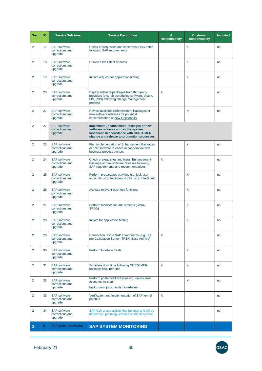| Sec.           | ID           | <b>Service Sub Area</b>                           | <b>Service Description</b>                                                                                                                                                 | A<br><b>Responsibility</b> | <b>Customer</b><br><b>Responsibility</b> | <b>Included</b> |
|----------------|--------------|---------------------------------------------------|----------------------------------------------------------------------------------------------------------------------------------------------------------------------------|----------------------------|------------------------------------------|-----------------|
| $\overline{2}$ | 17           | SAP software<br>corrections and<br>upgrade        | Check prerequisites and implement OSS notes<br>following SAP requirements                                                                                                  |                            | X                                        | no              |
| $\overline{2}$ | 18           | <b>SAP</b> software<br>corrections and<br>upgrade | <b>Correct Side Effect of notes</b>                                                                                                                                        |                            | X                                        | no              |
| 2              | 19           | <b>SAP</b> software<br>corrections and<br>upgrade | Initiate request for application testing                                                                                                                                   |                            | X                                        | no              |
| $\overline{2}$ | 20           | <b>SAP</b> software<br>corrections and<br>upgrade | Deploy software packages from third-party<br>providers (e.g. job scheduling software, Vistex,<br>FIS, PBS) following change management<br>process                          | $\sf X$                    |                                          | no              |
| $\overline{2}$ | 21           | <b>SAP</b> software<br>corrections and<br>upgrade | Review available Enhancement Packages or<br>new software releases for potential<br>implementation of new functionality                                                     |                            | X                                        | no              |
| 2              | 22           | <b>SAP</b> software<br>corrections and<br>upgrade | <b>Implement Enhancement Packages or new</b><br>software releases across the system<br>landscape in accordance with CUSTOMER<br>change and release to production processes |                            |                                          |                 |
| 2              | 23           | <b>SAP</b> software<br>corrections and<br>upgrade | Plan implementation of Enhancement Packages<br>or new software releases in cooperation with<br>business process owners                                                     |                            | X                                        | no              |
| $\overline{2}$ | 24           | <b>SAP</b> software<br>corrections and<br>upgrade | Check prerequisites and install Enhancement<br>Package or new software releases following<br>SAP requirements and recommendations.                                         | X                          |                                          | no              |
| $\overline{2}$ | 25           | <b>SAP</b> software<br>corrections and<br>upgrade | Perform preparation activities e.g. lock user<br>accounts, stop background jobs, stop interfaces)                                                                          |                            | X                                        | no              |
| $\overline{2}$ | 26           | <b>SAP software</b><br>corrections and<br>upgrade | Activate relevant business functions                                                                                                                                       |                            | X                                        | no              |
| $\overline{2}$ | 27           | <b>SAP</b> software<br>corrections and<br>upgrade | Perform modification adjustments (SPAU,<br>SPDD)                                                                                                                           |                            | X                                        | no              |
| $\overline{2}$ | 28           | <b>SAP</b> software<br>corrections and<br>upgrade | Initiate for application testing                                                                                                                                           |                            | X                                        | no              |
| 2              | 29           | <b>SAP</b> software<br>corrections and<br>upgrade | Connection test to SAP components (e.g. BIA,<br>pre Calculation Server, TREX, Easy Archive)                                                                                | X                          |                                          | no              |
| 2              | 30           | <b>SAP</b> software<br>corrections and<br>upgrade | <b>Perform Interface Tests</b>                                                                                                                                             |                            | X                                        | no              |
| $\overline{2}$ | 31           | <b>SAP</b> software<br>corrections and<br>upgrade | Schedule downtime following CUSTOMER<br>business requirements                                                                                                              | X                          | X                                        | no              |
| $\overline{2}$ | 32           | <b>SAP</b> software<br>corrections and<br>upgrade | Perform post-install activities e.g. unlock user<br>accounts, re-start<br>background jobs, re-start interfaces)                                                            |                            | X                                        | no              |
| $\overline{2}$ | 33           | <b>SAP</b> software<br>corrections and<br>upgrade | Verification and implementation of SAP kernel<br>patches                                                                                                                   | X                          |                                          | no              |
| $\overline{2}$ | 34           | <b>SAP</b> software<br>corrections and<br>upgrade | SAP GUI or any activity that belongs to it will be<br>defined in upcoming versions of this document                                                                        |                            |                                          | no              |
| 3              | $\mathbf{0}$ | SAP system monitoring                             | <b>SAP SYSTEM MONITORING</b>                                                                                                                                               |                            |                                          |                 |

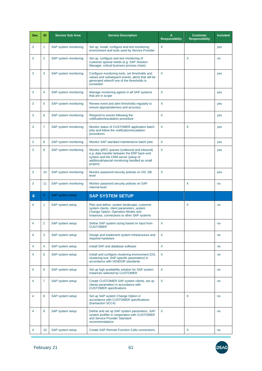| Sec.           | ID              | <b>Service Sub Area</b> | <b>Service Description</b>                                                                                                                                                                     | A<br><b>Responsibility</b> | <b>Customer</b><br><b>Responsibility</b> | <b>Included</b> |
|----------------|-----------------|-------------------------|------------------------------------------------------------------------------------------------------------------------------------------------------------------------------------------------|----------------------------|------------------------------------------|-----------------|
| 3              | 1               | SAP system monitoring   | Set up, install, configure and test monitoring<br>environment and tools used by Service Provider                                                                                               | X                          |                                          | yes             |
| 3              | $\overline{2}$  | SAP system monitoring   | Set up, configure and test monitoring of<br>customer special needs (e.g. SAP Solution<br>Manager, critical business process chain)                                                             |                            | X                                        | no              |
| 3              | 3               | SAP system monitoring   | Configure monitoring tools, set thresholds and<br>values and subsequent events, alerts that will be<br>generated when/if one of the thresholds is<br>exceeded                                  | X                          |                                          | yes             |
| 3              | 4               | SAP system monitoring   | Manage monitoring agents in all SAP systems<br>that are in scope                                                                                                                               | X                          |                                          | yes             |
| 3              | 5               | SAP system monitoring   | Review event and alert thresholds regularly to<br>ensure appropriateness and accuracy                                                                                                          | X                          |                                          | yes             |
| 3              | 6               | SAP system monitoring   | Respond to events following the<br>notification/escalation procedure                                                                                                                           | X                          |                                          | yes             |
| 3              | 7               | SAP system monitoring   | Monitor status of CUSTOMER application batch<br>jobs and follow the notification/escalation<br>procedures                                                                                      | X                          | X                                        | yes             |
| 3              | 8               | SAP system monitoring   | Monitor SAP standard maintenance batch jobs                                                                                                                                                    | X                          |                                          | yes             |
| 3              | 9               | SAP system monitoring   | Monitor qRFC queues (outbound and inbound)<br>e.g. data transfer between the ERP back-end<br>system and the CRM server (setup of<br>additional/special monitoring handled as small<br>project) | X                          |                                          | yes             |
| 3              | 10              | SAP system monitoring   | Monitor password security policies on OS, DB<br>level                                                                                                                                          | X                          |                                          | yes             |
| 3              | 11              | SAP system monitoring   | Monitor password security policies on SAP<br>internal level                                                                                                                                    |                            | X                                        | no              |
| 4              | $\mathbf{0}$    | SAP system setup        | <b>SAP SYSTEM SETUP</b>                                                                                                                                                                        |                            |                                          |                 |
| 4              | 1               | SAP system setup        | Plan and define: system landscape, customer<br>system clients, client parameters, system<br>Change Option, Operation Modes and<br>Instances, connections to other SAP systems                  |                            | X                                        | no              |
| 4              | 2               | SAP system setup        | Define SAP system sizing based on input from<br><b>CUSTOMER</b>                                                                                                                                | X                          |                                          | no              |
| 4              | 3               | SAP system setup        | Design and implement system infrastructure and<br>required hardware                                                                                                                            | X                          |                                          | no              |
| 4              | 4               | SAP system setup        | Install SAP and database software                                                                                                                                                              | X                          |                                          | no              |
| 4              | 5               | SAP system setup        | Install and configure clustering environment (OS,<br>clustering tool, SAP-specific parameters) in<br>accordance with VENDOR standards                                                          | X                          |                                          | no              |
| 4              | 6               | SAP system setup        | Set up high availability solution for SAP system<br>instances selected by CUSTOMER                                                                                                             | X                          |                                          | no              |
| $\overline{4}$ | 7               | SAP system setup        | Create CUSTOMER SAP system clients, set up<br>clients parameters in accordance with<br><b>CUSTOMER</b> specifications                                                                          | X                          |                                          | no              |
| 4              | 8               | SAP system setup        | Set up SAP system Change Option in<br>accordance with CUSTOMER specifications<br>(transaction SCC4)                                                                                            |                            | X                                        | no              |
| 4              | 9               | SAP system setup        | Define and set up SAP system parameters, SAP<br>system profiles in cooperation with CUSTOMER<br>and Service Provider Standard<br>recommendations                                               | X                          |                                          | no              |
| 4              | 10 <sup>°</sup> | SAP system setup        | <b>Create SAP Remote Function Calls connections</b>                                                                                                                                            |                            | X                                        | no              |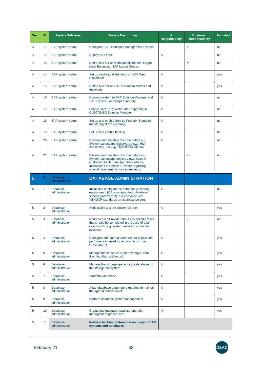| Sec.           | ID | <b>Service Sub Area</b>           | <b>Service Description</b>                                                                                                                                                                                           | A<br><b>Responsibility</b> | <b>Customer</b><br><b>Responsibility</b> | <b>Included</b> |
|----------------|----|-----------------------------------|----------------------------------------------------------------------------------------------------------------------------------------------------------------------------------------------------------------------|----------------------------|------------------------------------------|-----------------|
| 4              | 11 | SAP system setup                  | Configure SAP Transport Management System                                                                                                                                                                            |                            | X                                        | no              |
| 4              | 12 | SAP system setup                  | Deploy Add-Ons                                                                                                                                                                                                       | X                          |                                          | no              |
| 4              | 13 | SAP system setup                  | Define and set up workload distribution Logon<br>Load Balancing, SAP Logon Groups                                                                                                                                    |                            | X                                        | no              |
| 4              | 14 | SAP system setup                  | Set up workload distribution on SAP Web<br><b>Dispatcher</b>                                                                                                                                                         | X                          |                                          | yes             |
| 4              | 15 | SAP system setup                  | Define and set up SAP Operation Modes and<br>Instances                                                                                                                                                               | X                          |                                          | yes             |
| 4              | 16 | SAP system setup                  | Connect system to SAP Solution Manager and<br>SAP System Landscape Directory                                                                                                                                         | X                          |                                          | no              |
| 4              | 17 | SAP system setup                  | Enable SAP Early Watch Alert reporting in<br><b>CUSTOMER Solution Manager</b>                                                                                                                                        | X                          |                                          | no              |
| 4              | 18 | SAP system setup                  | Set up and enable Service Provider Standard<br>monitoring of the system(s)                                                                                                                                           | X                          |                                          | no              |
| $\overline{4}$ | 19 | SAP system setup                  | Set up and enable backup                                                                                                                                                                                             | X                          |                                          | no              |
| 4              | 20 | SAP system setup                  | Develop and maintain documentation e.g.<br>System Landscape (hardware view), High<br>Availability, Backup, Operational Manual                                                                                        | X                          |                                          | no              |
| 4              | 21 | SAP system setup                  | Develop and maintain documentation e.g.<br>System Landscape (logical view), System<br>customer clients, Transport Procedures,<br>Instructions to Service Provider regarding<br>special requirements for system setup |                            | X                                        | no              |
| 5              | 0  | <b>Database</b><br>administration | <b>DATABASE ADMINISTRATION</b>                                                                                                                                                                                       |                            |                                          |                 |
| 5              | 1  | <b>Database</b><br>administration | Install and configure the database clustering<br>environment (OS, clustering tool, database<br>specific parameters) in accordance with<br>VENDOR standards on database servers                                       | X                          |                                          | no              |
| 5              | 2  | <b>Database</b><br>administration | Periodically test the cluster fail-over                                                                                                                                                                              | X                          |                                          | yes             |
| 5              | 3  | <b>Database</b><br>administration | Notify Service Provider about any specific tasks<br>that should be completed in the case of a fail-<br>over switch (e.g. system restart of connected<br>systems)                                                     |                            | X                                        | no              |
| 5              | 4  | <b>Database</b><br>administration | Configure database parameters for application<br>performance based on requirements from<br><b>CUSTOMER</b>                                                                                                           | X                          |                                          | yes             |
| 5              | 5  | <b>Database</b><br>administration | Manage the file structure (for example, data<br>files, log files, and so on)                                                                                                                                         | X                          |                                          | yes             |
| 5              | 6  | <b>Database</b><br>administration | Manage the storage space for the database on<br>the storage subsystem                                                                                                                                                | X                          |                                          | yes             |
| 5              | 7  | <b>Database</b><br>administration | Start/stop database                                                                                                                                                                                                  | X                          |                                          | yes             |
| 5              | 8  | <b>Database</b><br>administration | Adapt database parameters required to maintain<br>the agreed service levels                                                                                                                                          | X                          |                                          | yes             |
| 5              | 9  | <b>Database</b><br>administration | Perform database system management                                                                                                                                                                                   | X                          |                                          | yes             |
| 5              | 10 | <b>Database</b><br>administration | Create and maintain database operation<br>management procedures                                                                                                                                                      | X                          |                                          | yes             |
| 5              | 11 | <b>Database</b><br>administration | Perform backup, restore and recovery of SAP<br>systems and databases                                                                                                                                                 |                            |                                          |                 |

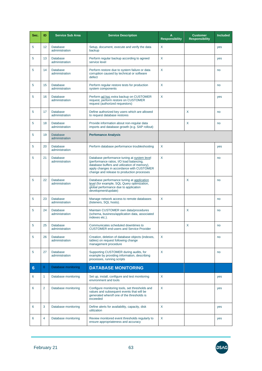| Sec. | ID             | <b>Service Sub Area</b>           | <b>Service Description</b>                                                                                                                                                                                                         | A<br><b>Responsibility</b> | <b>Customer</b><br><b>Responsibility</b> | <b>Included</b> |
|------|----------------|-----------------------------------|------------------------------------------------------------------------------------------------------------------------------------------------------------------------------------------------------------------------------------|----------------------------|------------------------------------------|-----------------|
| 5    | 12             | <b>Database</b><br>administration | Setup, document, execute and verify the data<br>backup                                                                                                                                                                             | X                          |                                          | yes             |
| 5    | 13             | <b>Database</b><br>administration | Perform regular backup according to agreed<br>service level                                                                                                                                                                        | X                          |                                          | yes             |
| 5    | 14             | <b>Database</b><br>administration | Perform restore due to system failure or data<br>corruption caused by technical or software<br>defect                                                                                                                              | X                          |                                          | no              |
| 5    | 15             | <b>Database</b><br>administration | Perform regular restore tests for production<br>system components                                                                                                                                                                  | X                          |                                          | no              |
| 5    | 16             | <b>Database</b><br>administration | Perform ad hoc extra backup on CUSTOMER<br>request, perform restore on CUSTOMER<br>request (authorized requestors)                                                                                                                 | X                          |                                          | yes             |
| 5    | 17             | <b>Database</b><br>administration | Define authorized key users which are allowed<br>to request database restores                                                                                                                                                      |                            | X                                        | no              |
| 5    | 18             | <b>Database</b><br>administration | Provide information about non-regular data<br>imports and database growth (e.g. SAP rollout)                                                                                                                                       |                            | X                                        | no              |
| 5    | 19             | <b>Database</b><br>administration | <b>Perfomance Analysis</b>                                                                                                                                                                                                         |                            |                                          |                 |
| 5    | 20             | <b>Database</b><br>administration | Perform database performance troubleshooting                                                                                                                                                                                       | X                          |                                          | yes             |
| 5    | 21             | <b>Database</b><br>administration | Database performance tuning at system level<br>(performance ratios, I/O load balancing,<br>database buffers and utilization of memory),<br>apply changes in accordance with CUSTOMER<br>change and release to production processes | X                          |                                          | no              |
| 5    | 22             | <b>Database</b><br>administration | Database performance tuning at application<br>level (for example, SQL Query optimization,<br>global performance due to application<br>development/update)                                                                          |                            | X                                        | no              |
| 5    | 23             | <b>Database</b><br>administration | Manage network access to remote databases<br>(listeners, SQL hosts).                                                                                                                                                               | X                          |                                          | no              |
| 5    | 24             | <b>Database</b><br>administration | Maintain CUSTOMER own data/procedures<br>(schema, business/application data, associated<br>indexes etc.).                                                                                                                          |                            | X                                        | no              |
| 5    | 25             | Database<br>administration        | Communicates scheduled downtimes to<br><b>CUSTOMER end-users and Service Provider</b>                                                                                                                                              |                            | X                                        | no              |
| 5    | 26             | <b>Database</b><br>administration | Creation, deletion of database objects (indexes,<br>tables) on request following change<br>management procedure                                                                                                                    | X                          |                                          | no              |
| 5    | 27             | <b>Database</b><br>administration | Supporting CUSTOMER during audits, for<br>example by providing information, describing<br>processes, running scripts                                                                                                               | X                          |                                          | no              |
| 6    | $\overline{0}$ | Database monitoring               | <b>DATABASE MONITORING</b>                                                                                                                                                                                                         |                            |                                          |                 |
| 6    | 1              | Database monitoring               | Set up, install, configure and test monitoring<br>environment and tools                                                                                                                                                            | X                          |                                          | yes             |
| 6    | $\overline{2}$ | Database monitoring               | Configure monitoring tools, set thresholds and<br>values and subsequent events that will be<br>generated when/if one of the thresholds is<br>exceeded                                                                              | X                          |                                          | yes             |
| 6    | 3              | Database monitoring               | Define alerts for availability, capacity, disk<br>utilization                                                                                                                                                                      | X                          |                                          | yes             |
| 6    | 4              | Database monitoring               | Review monitored event thresholds regularly to<br>ensure appropriateness and accuracy                                                                                                                                              | X                          |                                          | yes             |

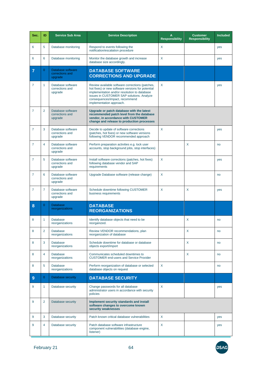| Sec. | ID             | <b>Service Sub Area</b>                         | <b>Service Description</b>                                                                                                                                                                                                                                      | Α<br><b>Responsibility</b> | <b>Customer</b><br><b>Responsibility</b> | <b>Included</b> |
|------|----------------|-------------------------------------------------|-----------------------------------------------------------------------------------------------------------------------------------------------------------------------------------------------------------------------------------------------------------------|----------------------------|------------------------------------------|-----------------|
| 6    | 5              | Database monitoring                             | Respond to events following the<br>notification/escalation procedure                                                                                                                                                                                            | $\mathsf{X}$               |                                          | yes             |
| 6    | 6              | Database monitoring                             | Monitor the database growth and increase<br>database size accordingly.                                                                                                                                                                                          | X                          |                                          | yes             |
| 7    | $\mathbf{0}$   | Database software<br>corrections and<br>upgrade | <b>DATABASE SOFTWARE</b><br><b>CORRECTIONS AND UPGRADE</b>                                                                                                                                                                                                      |                            |                                          |                 |
| 7    | 1              | Database software<br>corrections and<br>upgrade | Review available software corrections (patches,<br>hot fixes) or new software versions for potential<br>implementation and/or resolution to database<br>issues in CUSTOMER SAP solutions. Analyze<br>consequences/impact, recommend<br>implementation approach. | $\sf X$                    |                                          | yes             |
| 7    | 2              | Database software<br>corrections and<br>upgrade | Upgrade or patch database with the latest<br>recommended patch level from the database<br>vendor, in accordance with CUSTOMER<br>change and release to production processes                                                                                     |                            |                                          |                 |
| 7    | 3              | Database software<br>corrections and<br>upgrade | Decide to update of software corrections<br>(patches, hot fixes) or new software versions<br>following VENDOR recommended approach                                                                                                                              | $\sf X$                    |                                          | yes             |
| 7    | 4              | Database software<br>corrections and<br>upgrade | Perform preparation activities e.g. lock user<br>accounts, stop background jobs, stop interfaces)                                                                                                                                                               |                            | X                                        | no              |
| 7    | 5              | Database software<br>corrections and<br>upgrade | Install software corrections (patches, hot fixes)<br>following database vendor and SAP<br>requirements                                                                                                                                                          | $\sf X$                    |                                          | yes             |
| 7    | 6              | Database software<br>corrections and<br>upgrade | Upgrade Database software (release change)                                                                                                                                                                                                                      | X                          |                                          | no              |
| 7    | 7              | Database software<br>corrections and<br>upgrade | Schedule downtime following CUSTOMER<br>business requirements                                                                                                                                                                                                   | X                          | X                                        | yes             |
| 8    | $\mathbf{0}$   | <b>Database</b><br>reorganizations              | <b>DATABASE</b><br><b>REORGANIZATIONS</b>                                                                                                                                                                                                                       |                            |                                          |                 |
| 8    | 1              | <b>Database</b><br>reorganizations              | Identify database objects that need to be<br>reorganized.                                                                                                                                                                                                       |                            | х                                        | no              |
| 8    | 2              | <b>Database</b><br>reorganizations              | Review VENDOR recommendations, plan<br>reorganization of database                                                                                                                                                                                               |                            | X                                        | no              |
| 8    | 3              | <b>Database</b><br>reorganizations              | Schedule downtime for database or database<br>objects export/import                                                                                                                                                                                             |                            | X                                        | no              |
| 8    | 4              | <b>Database</b><br>reorganizations              | Communicates scheduled downtimes to<br><b>CUSTOMER end-users and Service Provider</b>                                                                                                                                                                           |                            | X                                        | no              |
| 8    | 5              | <b>Database</b><br>reorganizations              | Perform reorganization of database or selected<br>database objects on request                                                                                                                                                                                   | X                          |                                          | no              |
| 9    | $\overline{0}$ | Database security                               | <b>DATABASE SECURITY</b>                                                                                                                                                                                                                                        |                            |                                          |                 |
| 9    | 1              | Database security                               | Change passwords for all database<br>administrator users in accordance with security<br>policies                                                                                                                                                                | $\sf X$                    |                                          | yes             |
| 9    | 2              | Database security                               | Implement security standards and install<br>software changes to overcome known<br>security weaknesses                                                                                                                                                           |                            |                                          |                 |
| 9    | 3              | Database security                               | Patch known critical database vulnerabilities                                                                                                                                                                                                                   | X                          |                                          | yes             |
| 9    | 4              | Database security                               | Patch database software infrastructure<br>component vulnerabilities (database engine,<br>listener)                                                                                                                                                              | X                          |                                          | yes             |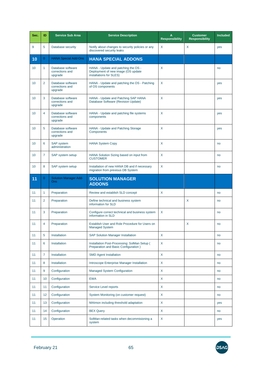| Sec. | ID             | <b>Service Sub Area</b>                         | <b>Service Description</b>                                                                           | A<br><b>Responsibility</b> | <b>Customer</b><br><b>Responsibility</b> | <b>Included</b> |
|------|----------------|-------------------------------------------------|------------------------------------------------------------------------------------------------------|----------------------------|------------------------------------------|-----------------|
| 9    | 5              | Database security                               | Notify about changes to security policies or any<br>discovered security leaks                        | X                          | X                                        | yes             |
| 10   | $\mathbf{0}$   | <b>HANA Special Add-Ons</b>                     | <b>HANA SPECIAL ADDONS</b>                                                                           |                            |                                          |                 |
| 10   | 1              | Database software<br>corrections and<br>upgrade | HANA - Update and patching the OS -<br>Deployment of new image (OS update<br>installations for SLES) | X                          |                                          | no              |
| 10   | $\overline{2}$ | Database software<br>corrections and<br>upgrade | HANA - Update and patching the OS - Patching<br>of OS components                                     | X                          |                                          | yes             |
| 10   | 3              | Database software<br>corrections and<br>upgrade | HANA - Update and Patching SAP HANA<br>Database Software (Revision Update)                           | X                          |                                          | yes             |
| 10   | 4              | Database software<br>corrections and<br>upgrade | HANA - Update and patching file systems<br>components                                                | X                          |                                          | yes             |
| 10   | 5              | Database software<br>corrections and<br>upgrade | HANA - Update and Patching Storage<br><b>Components</b>                                              | X                          |                                          | yes             |
| 10   | 6              | <b>SAP</b> system<br>administration             | <b>HANA System Copy</b>                                                                              | X                          |                                          | no              |
| 10   | 7              | SAP system setup                                | X<br>HANA Solution Sizing based on input from<br><b>CUSTOMER</b>                                     |                            |                                          | no              |
| 10   | 8              | SAP system setup                                | Installation of new HANA DB and if necessary<br>migration from previous DB System                    | X                          |                                          | no              |
| 11   | $\mathbf{0}$   | <b>Solution Manager Add-</b><br><b>Ons</b>      | <b>SOLUTION MANAGER</b><br><b>ADDONS</b>                                                             |                            |                                          |                 |
| 11   | 1              | Preparation                                     | Review and establish SLD concept                                                                     | X                          |                                          | no              |
| 11   | 2              | Preparation                                     | Define technical and business system<br>X<br>information for SLD                                     |                            |                                          | no              |
| 11   | 3              | Preparation                                     | X<br>Configure correct technical and business system<br>information in SLD                           |                            |                                          | no              |
| 11   | 4              | Preparation                                     | Establish User and Role Procedure for Users on<br><b>Managed System</b>                              |                            | X                                        | no              |
| 11   | 5              | Installation                                    | <b>SAP Solution Manager Installation</b>                                                             | X                          |                                          | no              |
| 11   | 6              | Installation                                    | Installation Post-Processing: SolMan Setup (<br>Preparation and Basic Configuration)                 | X                          |                                          | no              |
| 11   | $\overline{7}$ | Installation                                    | <b>SMD Agent Installation</b>                                                                        | X                          |                                          | no              |
| 11   | 8              | Installation                                    | Introscope Enterprise Manager Installation                                                           | X                          |                                          | no              |
| 11   | 9              | Configuration                                   | Managed System Configuration                                                                         | X                          |                                          | no              |
| 11   | 10             | Configuration                                   | <b>EWA</b>                                                                                           | X                          |                                          | no              |
| 11   | 11             | Configuration                                   | Service Level reports                                                                                | X                          |                                          | no              |
| 11   | 12             | Configuration                                   | System Monitoring (on customer request)                                                              | X                          |                                          | no              |
| 11   | 13             | Configuration                                   | MAImon including threshold adaptation                                                                | X                          |                                          | yes             |
| 11   | 14             | Configuration                                   | <b>BEX Query</b>                                                                                     | X                          |                                          | no              |
| 11   | 15             | Operation                                       | SolMan-related tasks when decommisioning a<br>system                                                 | X                          |                                          | yes             |

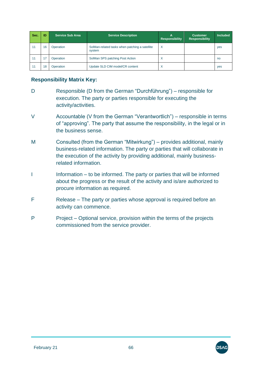| Sec. | ID | <b>Service Sub Area</b> | <b>Service Description</b>                               | А<br><b>Responsibility</b> | <b>Customer</b><br><b>Responsibility</b> | <b>Included</b> |
|------|----|-------------------------|----------------------------------------------------------|----------------------------|------------------------------------------|-----------------|
| 11   | 16 | Operation               | SolMan-related tasks when patching a satellite<br>system | $\times$                   |                                          | yes             |
| 11   |    | Operation               | SolMan SPS patching Post Action                          | ⋏                          |                                          | no              |
| 11   | 18 | Operation               | Update SLD CIM model/CR content                          | X                          |                                          | yes             |

#### **Responsibility Matrix Key:**

- D Responsible (D from the German "Durchführung") responsible for execution. The party or parties responsible for executing the activity/activities.
- V Accountable (V from the German "Verantwortlich") responsible in terms of "approving". The party that assume the responsibility, in the legal or in the business sense.
- M Consulted (from the German "Mitwirkung") provides additional, mainly business-related information. The party or parties that will collaborate in the execution of the activity by providing additional, mainly businessrelated information.
- I Information to be informed. The party or parties that will be informed about the progress or the result of the activity and is/are authorized to procure information as required.
- F Release The party or parties whose approval is required before an activity can commence.
- P Project Optional service, provision within the terms of the projects commissioned from the service provider.

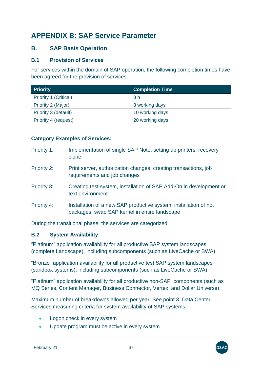# **APPENDIX B: SAP Service Parameter**

### **B. SAP Basis Operation**

#### **B.1 Provision of Services**

For services within the domain of SAP operation, the following completion times have been agreed for the provision of services.

| <b>Priority</b>              | <b>Completion Time</b> |
|------------------------------|------------------------|
| <b>Priority 1 (Critical)</b> | 8 h                    |
| Priority 2 (Major)           | 3 working days         |
| Priority 3 (default)         | 10 working days        |
| Priority 4 (request)         | 20 working days        |

#### **Category Examples of Services:**

Priority 1: Implementation of single SAP Note, setting up printers, recovery clone Priority 2: Print server, authorization changes, creating transactions, job requirements and job changes Priority 3: Creating test system, installation of SAP Add-On in development or text environment Priority 4: Installation of a new SAP productive system, installation of hot packages, swap SAP kernel in entire landscape

During the transitional phase, the services are categorized.

### **B.2 System Availability**

"Platinum" application availability for all productive SAP system landscapes (complete Landscape), including subcomponents (such as LiveCache or BWA)

"Bronze" application availability for all productive test SAP system landscapes (sandbox systems), including subcomponents (such as LiveCache or BWA)

"Platinum" application availability for all productive non-SAP components (such as MQ Series, Content Manager, Business Connector, Vertex, and Dollar Universe)

Maximum number of breakdowns allowed per year: See point 3. Data Center Services measuring criteria for system availability of SAP systems:

- Logon check in every system
- Update program must be active in every system

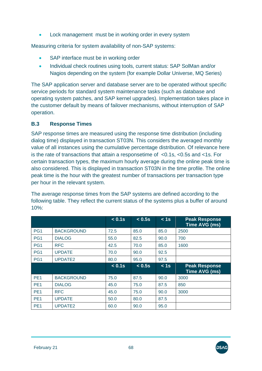Lock management must be in working order in every system

Measuring criteria for system availability of non-SAP systems:

- SAP interface must be in working order
- Individual check routines using tools, current status: SAP SolMan and/or Nagios depending on the system (for example Dollar Universe, MQ Series)

The SAP application server and database server are to be operated without specific service periods for standard system maintenance tasks (such as database and operating system patches, and SAP kernel upgrades). Implementation takes place in the customer default by means of failover mechanisms, without interruption of SAP operation.

#### **B.3 Response Times**

SAP response times are measured using the response time distribution (including dialog time) displayed in transaction ST03N. This considers the averaged monthly value of all instances using the cumulative percentage distribution. Of relevance here is the rate of transactions that attain a responsetime of <0.1s, <0.5s and <1s. For certain transaction types, the maximum hourly average during the online peak time is also considered. This is displayed in transaction ST03N in the time profile. The online peak time is the hour with the greatest number of transactions per transaction type per hour in the relevant system.

The average response times from the SAP systems are defined according to the following table. They reflect the current status of the systems plus a buffer of around 10%:

|                 |                     | < 0.1s    | < 0.5s | < 1s | <b>Peak Response</b><br>Time AVG (ms) |
|-----------------|---------------------|-----------|--------|------|---------------------------------------|
| PG <sub>1</sub> | <b>BACKGROUND</b>   | 72.5      | 85.0   | 85.0 | 2500                                  |
| PG1             | <b>DIALOG</b>       | 55.0      | 82.5   | 90.0 | 700                                   |
| PG <sub>1</sub> | <b>RFC</b>          | 42.5      | 70.0   | 85.0 | 1600                                  |
| PG1             | <b>UPDATE</b>       | 70.0      | 90.0   | 92.5 |                                       |
| PG <sub>1</sub> | UPDATE2             | 80.0      | 95.0   | 97.5 |                                       |
|                 |                     | $< 0.1$ s | < 0.5s | < 1s | <b>Peak Response</b><br>Time AVG (ms) |
| PE <sub>1</sub> | <b>BACKGROUND</b>   | 75.0      | 87.5   | 90.0 | 3000                                  |
| PE <sub>1</sub> | <b>DIALOG</b>       | 45.0      | 75.0   | 87.5 | 850                                   |
| PE <sub>1</sub> | <b>RFC</b>          | 45.0      | 75.0   | 90.0 | 3000                                  |
| PE <sub>1</sub> | <b>UPDATE</b>       | 50.0      | 80.0   | 87.5 |                                       |
| PE <sub>1</sub> | UPDATE <sub>2</sub> | 60.0      | 90.0   | 95.0 |                                       |



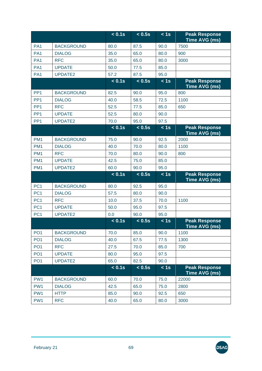|                 |                   | < 0.1s | < 0.5s | < 1s | <b>Peak Response</b><br><b>Time AVG (ms)</b> |
|-----------------|-------------------|--------|--------|------|----------------------------------------------|
| PA <sub>1</sub> | <b>BACKGROUND</b> | 80.0   | 87.5   | 90.0 | 7500                                         |
| PA <sub>1</sub> | <b>DIALOG</b>     | 35.0   | 65.0   | 80.0 | 900                                          |
| PA <sub>1</sub> | <b>RFC</b>        | 35.0   | 65.0   | 80.0 | 3000                                         |
| PA <sub>1</sub> | <b>UPDATE</b>     | 50.0   | 77.5   | 85.0 |                                              |
| PA <sub>1</sub> | UPDATE2           | 57.2   | 87.5   | 95.0 |                                              |
|                 |                   | < 0.1s | < 0.5s | < 1s | <b>Peak Response</b><br>Time AVG (ms)        |
| PP <sub>1</sub> | <b>BACKGROUND</b> | 82.5   | 90.0   | 95.0 | 800                                          |
| PP <sub>1</sub> | <b>DIALOG</b>     | 40.0   | 58.5   | 72.5 | 1100                                         |
| PP <sub>1</sub> | <b>RFC</b>        | 52.5   | 77.5   | 85.0 | 650                                          |
| PP <sub>1</sub> | <b>UPDATE</b>     | 52.5   | 80.0   | 90.0 |                                              |
| PP <sub>1</sub> | UPDATE2           | 70.0   | 95.0   | 97.5 |                                              |
|                 |                   | < 0.1s | < 0.5s | < 1s | <b>Peak Response</b><br>Time AVG (ms)        |
| PM <sub>1</sub> | <b>BACKGROUND</b> | 75.0   | 90.0   | 92.5 | 2000                                         |
| PM <sub>1</sub> | <b>DIALOG</b>     | 40.0   | 70.0   | 80.0 | 1100                                         |
| PM <sub>1</sub> | <b>RFC</b>        | 70.0   | 80.0   | 90.0 | 800                                          |
| PM <sub>1</sub> | <b>UPDATE</b>     | 42.5   | 75.0   | 85.0 |                                              |
| PM <sub>1</sub> | UPDATE2           | 60.0   | 90.0   | 95.0 |                                              |
|                 |                   | < 0.1s | < 0.5s | < 1s | <b>Peak Response</b><br>Time AVG (ms)        |
| PC <sub>1</sub> | <b>BACKGROUND</b> | 80.0   | 92.5   | 95.0 |                                              |
| PC <sub>1</sub> | <b>DIALOG</b>     | 57.5   | 80.0   | 90.0 |                                              |
| PC <sub>1</sub> | <b>RFC</b>        | 10.0   | 37.5   | 70.0 | 1100                                         |
| PC <sub>1</sub> | <b>UPDATE</b>     | 50.0   | 95.0   | 97.5 |                                              |
| PC <sub>1</sub> | <b>UPDATE2</b>    | 0.0    | 90.0   | 95.0 |                                              |
|                 |                   | < 0.1s | < 0.5s | $1s$ | <b>Peak Response</b><br>Time AVG (ms)        |
| PO <sub>1</sub> | <b>BACKGROUND</b> | 70.0   | 85.0   | 90.0 | 1100                                         |
| PO <sub>1</sub> | <b>DIALOG</b>     | 40.0   | 67.5   | 77.5 | 1300                                         |
| PO <sub>1</sub> | <b>RFC</b>        | 27.5   | 70.0   | 85.0 | 700                                          |
| PO <sub>1</sub> | <b>UPDATE</b>     | 80.0   | 95.0   | 97.5 |                                              |
| PO <sub>1</sub> | UPDATE2           | 65.0   | 82.5   | 90.0 |                                              |
|                 |                   | < 0.1s | < 0.5s | < 1s | <b>Peak Response</b><br>Time AVG (ms)        |
| PW1             | <b>BACKGROUND</b> | 60.0   | 70.0   | 75.0 | 22000                                        |
| PW1             | <b>DIALOG</b>     | 42.5   | 65.0   | 75.0 | 2800                                         |
| PW1             | <b>HTTP</b>       | 85.0   | 90.0   | 92.5 | 650                                          |
| PW <sub>1</sub> | <b>RFC</b>        | 40.0   | 65.0   | 80.0 | 3000                                         |

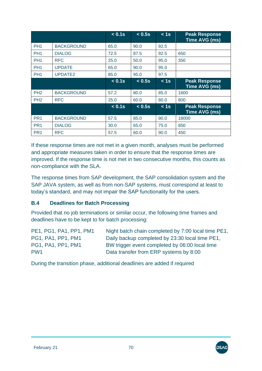|                 |                     | < 0.1s | < 0.5s | < 1s              | <b>Peak Response</b><br>Time AVG (ms)        |
|-----------------|---------------------|--------|--------|-------------------|----------------------------------------------|
| PH <sub>1</sub> | <b>BACKGROUND</b>   | 65.0   | 90.0   | 92.5              |                                              |
| PH <sub>1</sub> | <b>DIALOG</b>       | 72.5   | 87.5   | 92.5              | 650                                          |
| PH <sub>1</sub> | <b>RFC</b>          | 25.0   | 50.0   | 95.0              | 350                                          |
| PH <sub>1</sub> | <b>UPDATE</b>       | 65.0   | 90.0   | 95.0              |                                              |
| PH <sub>1</sub> | UPDATE <sub>2</sub> | 85.0   | 95.0   | 97.5              |                                              |
|                 |                     | < 0.1s | < 0.5s | < 1s              | <b>Peak Response</b><br>Time AVG (ms)        |
| PH <sub>2</sub> | <b>BACKGROUND</b>   | 57.2   | 80.0   | 85.0              | 1600                                         |
| PH <sub>2</sub> | <b>RFC</b>          | 25.0   | 60.0   | 80.0              | 800                                          |
|                 |                     | < 0.1s | < 0.5s | $\overline{<}$ 1s | <b>Peak Response</b><br><b>Time AVG (ms)</b> |
| PR <sub>1</sub> | <b>BACKGROUND</b>   | 57.5   | 85.0   | 90.0              | 18000                                        |
| PR <sub>1</sub> | <b>DIALOG</b>       | 30.0   | 65.0   | 75.0              | 850                                          |
| PR <sub>1</sub> | <b>RFC</b>          | 57.5   | 60.0   | 90.0              | 450                                          |

If these response times are not met in a given month, analyses must be performed and appropriate measures taken in order to ensure that the response times are improved. If the response time is not met in two consecutive months, this counts as non-compliance with the SLA.

The response times from SAP development, the SAP consolidation system and the SAP JAVA system, as well as from non-SAP systems, must correspond at least to today's standard, and may not impair the SAP functionality for the users.

#### **B.4 Deadlines for Batch Processing**

Provided that no job terminations or similar occur, the following time frames and deadlines have to be kept to for batch processing:

| PE1, PG1, PA1, PP1, PM1 | Night batch chain completed by 7:00 local time PE1, |
|-------------------------|-----------------------------------------------------|
| PG1, PA1, PP1, PM1      | Daily backup completed by 23:30 local time PE1,     |
| PG1, PA1, PP1, PM1      | BW trigger event completed by 06:00 local time      |
| PW <sub>1</sub>         | Data transfer from ERP systems by 8:00              |

During the transition phase, additional deadlines are added if required

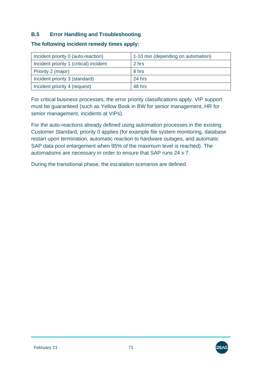### **B.5 Error Handling and Troubleshooting**

| Incident priority 0 (auto-reaction)     | 1-10 min (depending on automation) |
|-----------------------------------------|------------------------------------|
| Incident priority 1 (critical) incident | 2 hrs                              |
| Priority 2 (major)                      | 8 hrs                              |
| Incident priority 3 (standard)          | 24 hrs                             |
| Incident priority 4 (request)           | 48 hrs                             |

#### **The following incident remedy times apply:**

For critical business processes, the error priority classifications apply. VIP support must be guaranteed (such as Yellow Book in BW for senior management, HR for senior management, incidents at VIPs).

For the auto-reactions already defined using automation processes in the existing Customer Standard, priority 0 applies (for example file system monitoring, database restart upon termination, automatic reaction to hardware outages, and automatic SAP data pool enlargement when 95% of the maximum level is reached). The automatisms are necessary in order to ensure that SAP runs 24 x 7.

During the transitional phase, the escalation scenarios are defined.